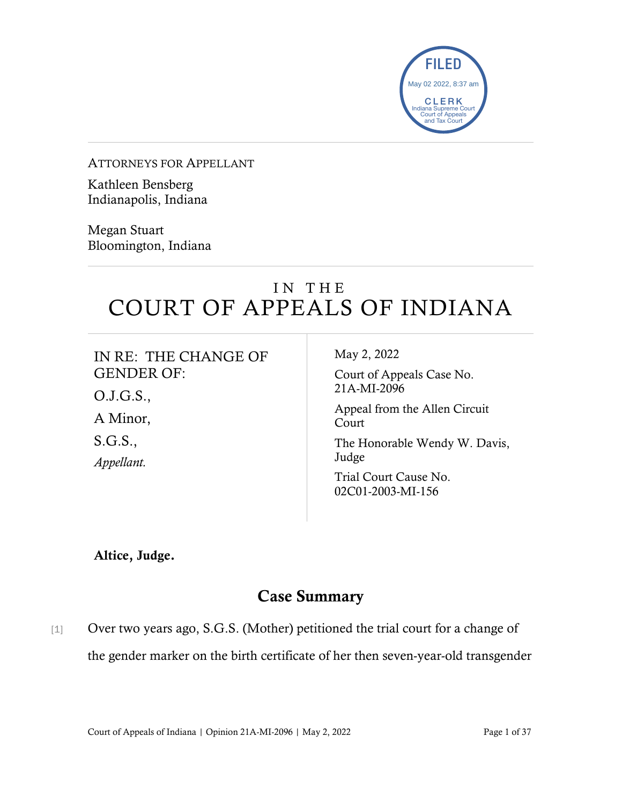

ATTORNEYS FOR APPELLANT

Kathleen Bensberg Indianapolis, Indiana

Megan Stuart Bloomington, Indiana

# IN THE COURT OF APPEALS OF INDIANA

| IN RE: THE CHANGE OF | May 2, 2022                                |
|----------------------|--------------------------------------------|
| <b>GENDER OF:</b>    | Court of Appeals Case No.                  |
| O.J.G.S.,            | 21A-MI-2096                                |
| A Minor,             | Appeal from the Allen Circuit<br>Court     |
| S.G.S.,              | The Honorable Wendy W. Davis,              |
| Appellant.           | Judge                                      |
|                      | Trial Court Cause No.<br>02C01-2003-MI-156 |

Altice, Judge.

### Case Summary

[1] Over two years ago, S.G.S. (Mother) petitioned the trial court for a change of the gender marker on the birth certificate of her then seven-year-old transgender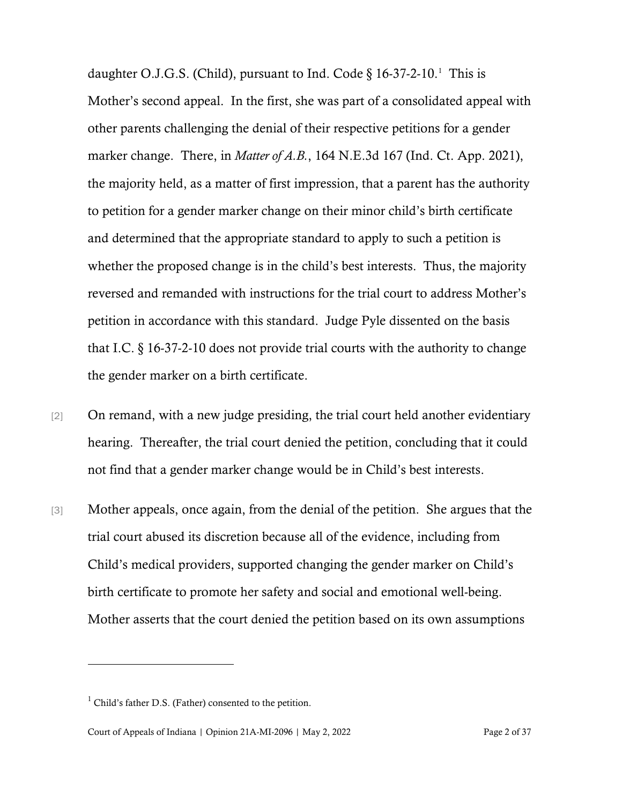daughter O.J.G.S. (Child), pursuant to Ind. Code  $\S 16-37-2-10$  $\S 16-37-2-10$  $\S 16-37-2-10$ .<sup>1</sup> This is Mother's second appeal. In the first, she was part of a consolidated appeal with other parents challenging the denial of their respective petitions for a gender marker change. There, in *Matter of A.B.*, 164 N.E.3d 167 (Ind. Ct. App. 2021), the majority held, as a matter of first impression, that a parent has the authority to petition for a gender marker change on their minor child's birth certificate and determined that the appropriate standard to apply to such a petition is whether the proposed change is in the child's best interests. Thus, the majority reversed and remanded with instructions for the trial court to address Mother's petition in accordance with this standard. Judge Pyle dissented on the basis that I.C. § 16-37-2-10 does not provide trial courts with the authority to change the gender marker on a birth certificate.

- [2] On remand, with a new judge presiding, the trial court held another evidentiary hearing. Thereafter, the trial court denied the petition, concluding that it could not find that a gender marker change would be in Child's best interests.
- [3] Mother appeals, once again, from the denial of the petition. She argues that the trial court abused its discretion because all of the evidence, including from Child's medical providers, supported changing the gender marker on Child's birth certificate to promote her safety and social and emotional well-being. Mother asserts that the court denied the petition based on its own assumptions

<span id="page-1-0"></span> $<sup>1</sup>$  Child's father D.S. (Father) consented to the petition.</sup>

Court of Appeals of Indiana | Opinion 21A-MI-2096 | May 2, 2022 Page 2 of 37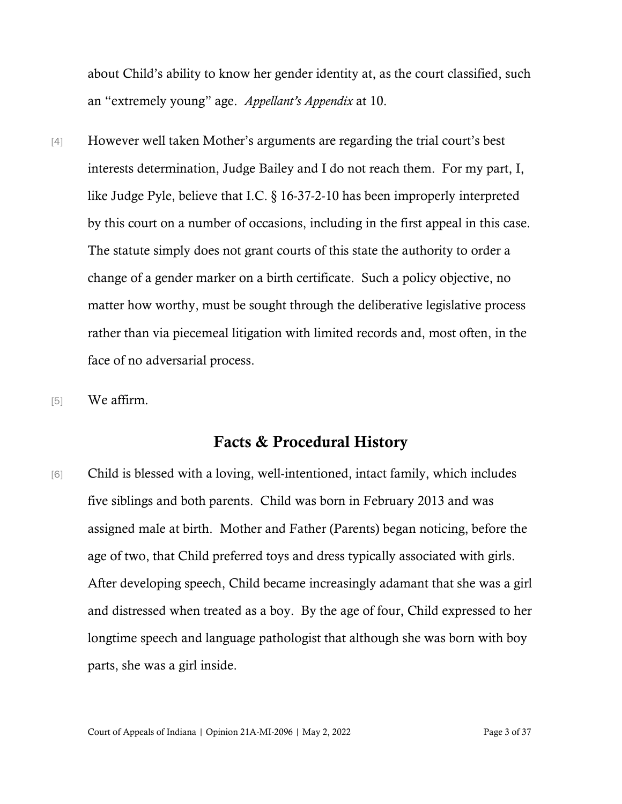about Child's ability to know her gender identity at, as the court classified, such an "extremely young" age. *Appellant's Appendix* at 10.

- [4] However well taken Mother's arguments are regarding the trial court's best interests determination, Judge Bailey and I do not reach them. For my part, I, like Judge Pyle, believe that I.C. § 16-37-2-10 has been improperly interpreted by this court on a number of occasions, including in the first appeal in this case. The statute simply does not grant courts of this state the authority to order a change of a gender marker on a birth certificate. Such a policy objective, no matter how worthy, must be sought through the deliberative legislative process rather than via piecemeal litigation with limited records and, most often, in the face of no adversarial process.
- [5] We affirm.

### Facts & Procedural History

[6] Child is blessed with a loving, well-intentioned, intact family, which includes five siblings and both parents. Child was born in February 2013 and was assigned male at birth. Mother and Father (Parents) began noticing, before the age of two, that Child preferred toys and dress typically associated with girls. After developing speech, Child became increasingly adamant that she was a girl and distressed when treated as a boy. By the age of four, Child expressed to her longtime speech and language pathologist that although she was born with boy parts, she was a girl inside.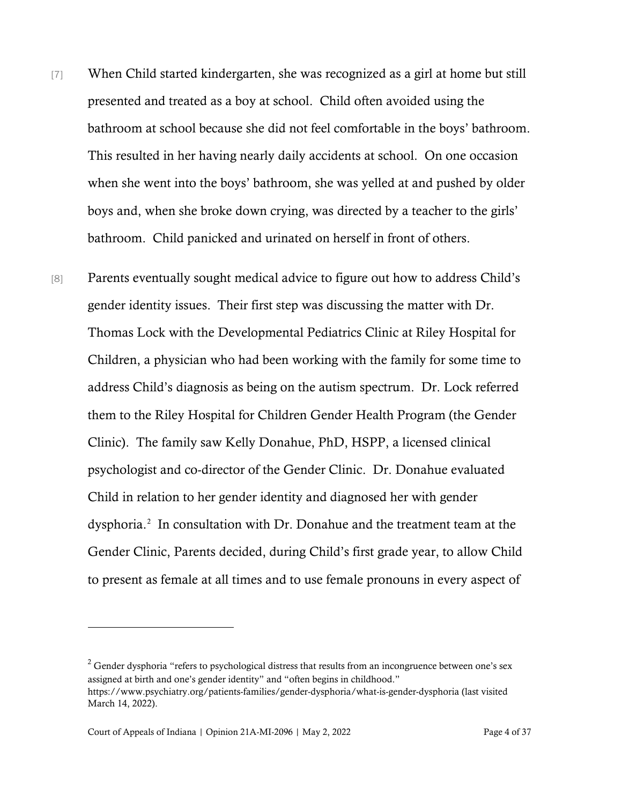- [7] When Child started kindergarten, she was recognized as a girl at home but still presented and treated as a boy at school. Child often avoided using the bathroom at school because she did not feel comfortable in the boys' bathroom. This resulted in her having nearly daily accidents at school. On one occasion when she went into the boys' bathroom, she was yelled at and pushed by older boys and, when she broke down crying, was directed by a teacher to the girls' bathroom. Child panicked and urinated on herself in front of others.
- [8] Parents eventually sought medical advice to figure out how to address Child's gender identity issues. Their first step was discussing the matter with Dr. Thomas Lock with the Developmental Pediatrics Clinic at Riley Hospital for Children, a physician who had been working with the family for some time to address Child's diagnosis as being on the autism spectrum. Dr. Lock referred them to the Riley Hospital for Children Gender Health Program (the Gender Clinic). The family saw Kelly Donahue, PhD, HSPP, a licensed clinical psychologist and co-director of the Gender Clinic. Dr. Donahue evaluated Child in relation to her gender identity and diagnosed her with gender dysphoria.[2](#page-3-0) In consultation with Dr. Donahue and the treatment team at the Gender Clinic, Parents decided, during Child's first grade year, to allow Child to present as female at all times and to use female pronouns in every aspect of

<span id="page-3-0"></span><sup>&</sup>lt;sup>2</sup> Gender dysphoria "refers to psychological distress that results from an incongruence between one's sex assigned at birth and one's gender identity" and "often begins in childhood." https://www.psychiatry.org/patients-families/gender-dysphoria/what-is-gender-dysphoria (last visited March 14, 2022).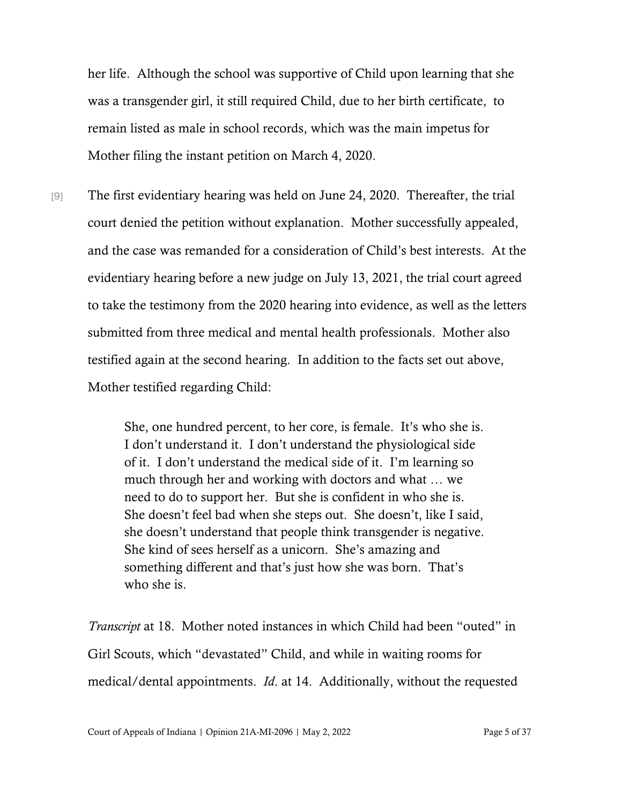her life. Although the school was supportive of Child upon learning that she was a transgender girl, it still required Child, due to her birth certificate, to remain listed as male in school records, which was the main impetus for Mother filing the instant petition on March 4, 2020.

[9] The first evidentiary hearing was held on June 24, 2020. Thereafter, the trial court denied the petition without explanation. Mother successfully appealed, and the case was remanded for a consideration of Child's best interests. At the evidentiary hearing before a new judge on July 13, 2021, the trial court agreed to take the testimony from the 2020 hearing into evidence, as well as the letters submitted from three medical and mental health professionals. Mother also testified again at the second hearing. In addition to the facts set out above, Mother testified regarding Child:

> She, one hundred percent, to her core, is female. It's who she is. I don't understand it. I don't understand the physiological side of it. I don't understand the medical side of it. I'm learning so much through her and working with doctors and what … we need to do to support her. But she is confident in who she is. She doesn't feel bad when she steps out. She doesn't, like I said, she doesn't understand that people think transgender is negative. She kind of sees herself as a unicorn. She's amazing and something different and that's just how she was born. That's who she is.

*Transcript* at 18. Mother noted instances in which Child had been "outed" in Girl Scouts, which "devastated" Child, and while in waiting rooms for medical/dental appointments. *Id*. at 14. Additionally, without the requested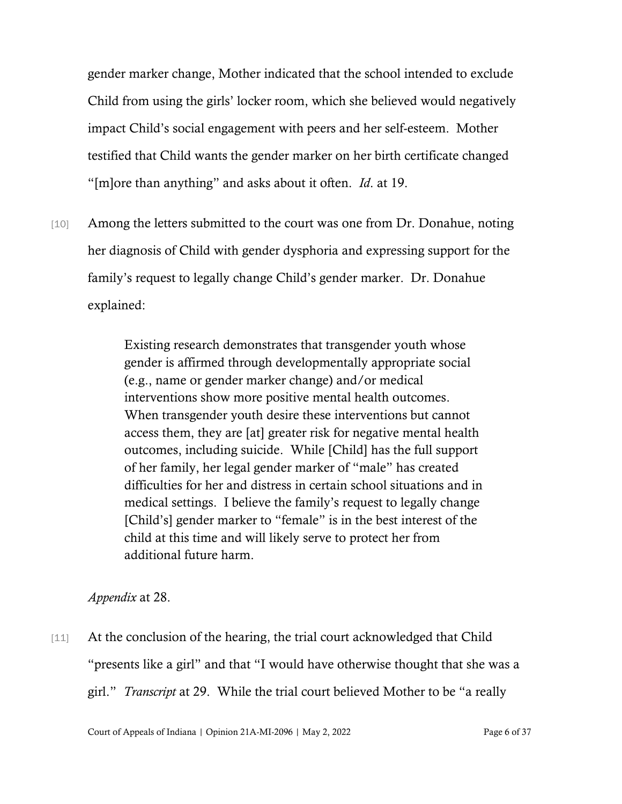gender marker change, Mother indicated that the school intended to exclude Child from using the girls' locker room, which she believed would negatively impact Child's social engagement with peers and her self-esteem. Mother testified that Child wants the gender marker on her birth certificate changed "[m]ore than anything" and asks about it often. *Id*. at 19.

[10] Among the letters submitted to the court was one from Dr. Donahue, noting her diagnosis of Child with gender dysphoria and expressing support for the family's request to legally change Child's gender marker. Dr. Donahue explained:

> Existing research demonstrates that transgender youth whose gender is affirmed through developmentally appropriate social (e.g., name or gender marker change) and/or medical interventions show more positive mental health outcomes. When transgender youth desire these interventions but cannot access them, they are [at] greater risk for negative mental health outcomes, including suicide. While [Child] has the full support of her family, her legal gender marker of "male" has created difficulties for her and distress in certain school situations and in medical settings. I believe the family's request to legally change [Child's] gender marker to "female" is in the best interest of the child at this time and will likely serve to protect her from additional future harm.

*Appendix* at 28.

[11] At the conclusion of the hearing, the trial court acknowledged that Child "presents like a girl" and that "I would have otherwise thought that she was a girl." *Transcript* at 29. While the trial court believed Mother to be "a really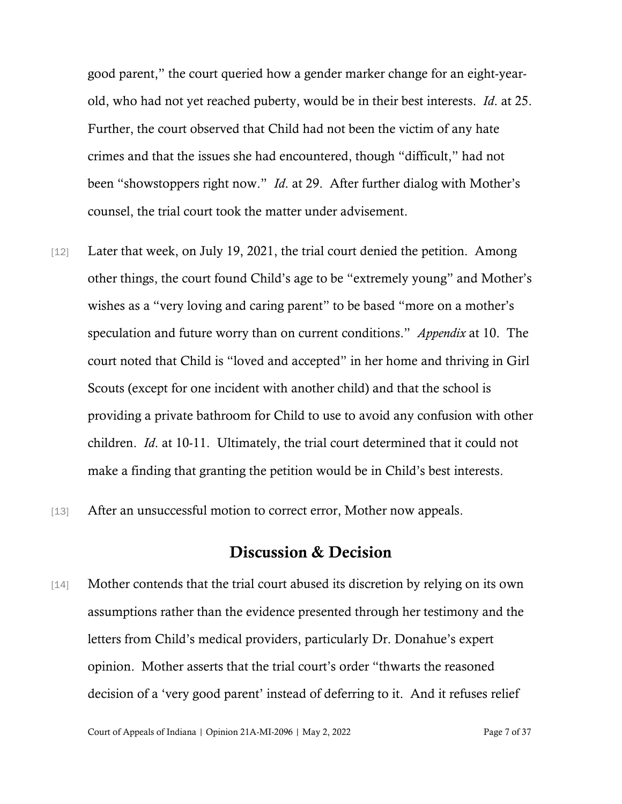good parent," the court queried how a gender marker change for an eight-yearold, who had not yet reached puberty, would be in their best interests. *Id*. at 25. Further, the court observed that Child had not been the victim of any hate crimes and that the issues she had encountered, though "difficult," had not been "showstoppers right now." *Id*. at 29. After further dialog with Mother's counsel, the trial court took the matter under advisement.

- [12] Later that week, on July 19, 2021, the trial court denied the petition. Among other things, the court found Child's age to be "extremely young" and Mother's wishes as a "very loving and caring parent" to be based "more on a mother's speculation and future worry than on current conditions." *Appendix* at 10. The court noted that Child is "loved and accepted" in her home and thriving in Girl Scouts (except for one incident with another child) and that the school is providing a private bathroom for Child to use to avoid any confusion with other children. *Id*. at 10-11. Ultimately, the trial court determined that it could not make a finding that granting the petition would be in Child's best interests.
- [13] After an unsuccessful motion to correct error, Mother now appeals.

### Discussion & Decision

[14] Mother contends that the trial court abused its discretion by relying on its own assumptions rather than the evidence presented through her testimony and the letters from Child's medical providers, particularly Dr. Donahue's expert opinion. Mother asserts that the trial court's order "thwarts the reasoned decision of a 'very good parent' instead of deferring to it. And it refuses relief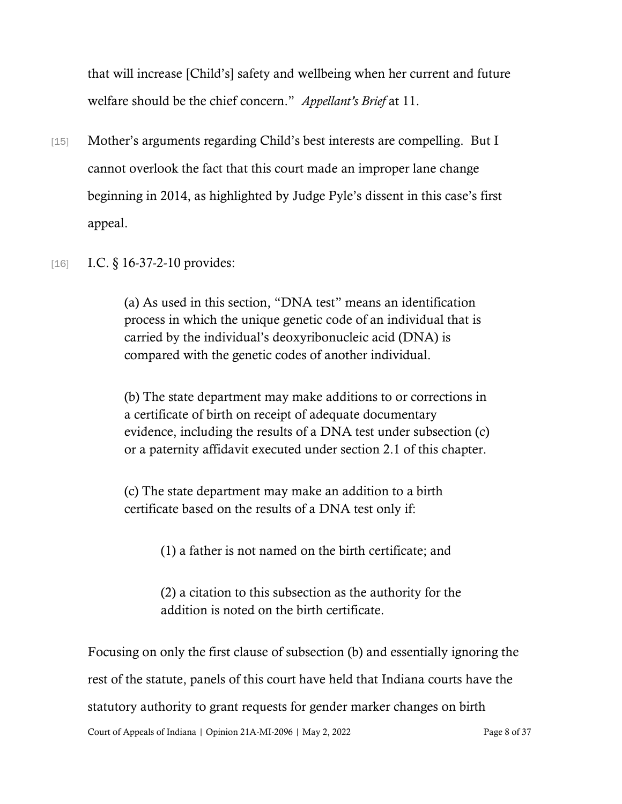that will increase [Child's] safety and wellbeing when her current and future welfare should be the chief concern." *Appellant's Brief* at 11.

- [15] Mother's arguments regarding Child's best interests are compelling. But I cannot overlook the fact that this court made an improper lane change beginning in 2014, as highlighted by Judge Pyle's dissent in this case's first appeal.
- [16] **I.C.** § 16-37-2-10 provides:

(a) As used in this section, "DNA test" means an identification process in which the unique genetic code of an individual that is carried by the individual's deoxyribonucleic acid (DNA) is compared with the genetic codes of another individual.

(b) The state department may make additions to or corrections in a certificate of birth on receipt of adequate documentary evidence, including the results of a DNA test under subsection (c) or a paternity affidavit executed under section 2.1 of this chapter.

(c) The state department may make an addition to a birth certificate based on the results of a DNA test only if:

(1) a father is not named on the birth certificate; and

(2) a citation to this subsection as the authority for the addition is noted on the birth certificate.

Court of Appeals of Indiana | Opinion 21A-MI-2096 | May 2, 2022 Page 8 of 37 Focusing on only the first clause of subsection (b) and essentially ignoring the rest of the statute, panels of this court have held that Indiana courts have the statutory authority to grant requests for gender marker changes on birth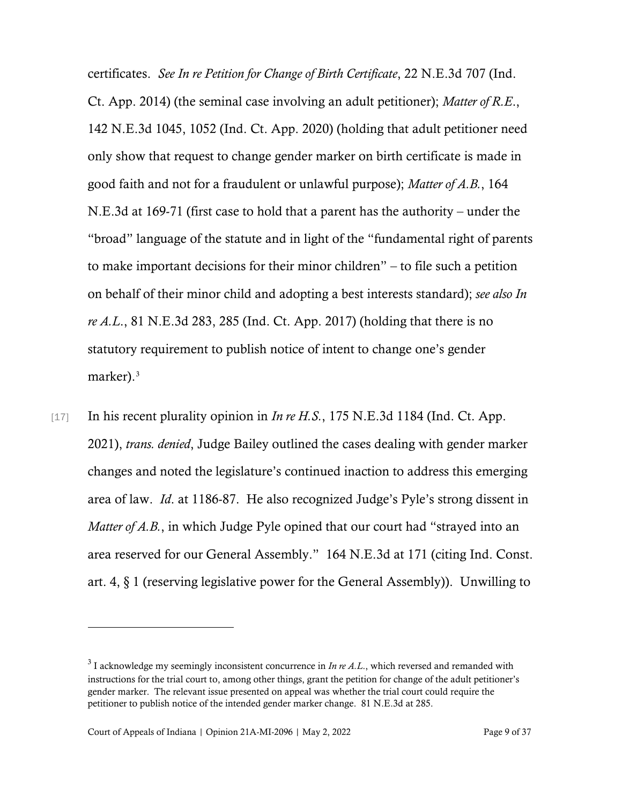certificates. *See In re Petition for Change of Birth Certificate*, 22 N.E.3d 707 (Ind. Ct. App. 2014) (the seminal case involving an adult petitioner); *Matter of R.E*., 142 N.E.3d 1045, 1052 (Ind. Ct. App. 2020) (holding that adult petitioner need only show that request to change gender marker on birth certificate is made in good faith and not for a fraudulent or unlawful purpose); *Matter of A.B.*, 164 N.E.3d at 169-71 (first case to hold that a parent has the authority – under the "broad" language of the statute and in light of the "fundamental right of parents to make important decisions for their minor children" – to file such a petition on behalf of their minor child and adopting a best interests standard); *see also In re A.L*., 81 N.E.3d 283, 285 (Ind. Ct. App. 2017) (holding that there is no statutory requirement to publish notice of intent to change one's gender marker).<sup>[3](#page-8-0)</sup>

[17] In his recent plurality opinion in *In re H.S.*, 175 N.E.3d 1184 (Ind. Ct. App. 2021), *trans. denied*, Judge Bailey outlined the cases dealing with gender marker changes and noted the legislature's continued inaction to address this emerging area of law. *Id*. at 1186-87. He also recognized Judge's Pyle's strong dissent in *Matter of A.B.*, in which Judge Pyle opined that our court had "strayed into an area reserved for our General Assembly." 164 N.E.3d at 171 (citing Ind. Const. art. 4, § 1 (reserving legislative power for the General Assembly)). Unwilling to

<span id="page-8-0"></span><sup>3</sup> I acknowledge my seemingly inconsistent concurrence in *In re A.L*., which reversed and remanded with instructions for the trial court to, among other things, grant the petition for change of the adult petitioner's gender marker. The relevant issue presented on appeal was whether the trial court could require the petitioner to publish notice of the intended gender marker change. 81 N.E.3d at 285.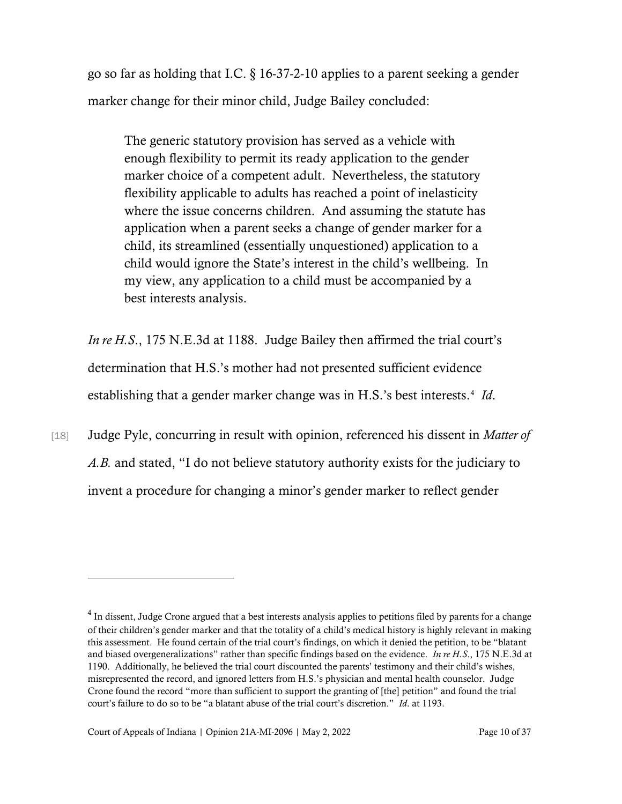go so far as holding that I.C. § 16-37-2-10 applies to a parent seeking a gender marker change for their minor child, Judge Bailey concluded:

The generic statutory provision has served as a vehicle with enough flexibility to permit its ready application to the gender marker choice of a competent adult. Nevertheless, the statutory flexibility applicable to adults has reached a point of inelasticity where the issue concerns children. And assuming the statute has application when a parent seeks a change of gender marker for a child, its streamlined (essentially unquestioned) application to a child would ignore the State's interest in the child's wellbeing. In my view, any application to a child must be accompanied by a best interests analysis.

*In re H.S*., 175 N.E.3d at 1188. Judge Bailey then affirmed the trial court's determination that H.S.'s mother had not presented sufficient evidence establishing that a gender marker change was in H.S.'s best interests.<sup>[4](#page-9-0)</sup> Id.

[18] Judge Pyle, concurring in result with opinion, referenced his dissent in *Matter of A.B.* and stated, "I do not believe statutory authority exists for the judiciary to invent a procedure for changing a minor's gender marker to reflect gender

<span id="page-9-0"></span> $4$  In dissent, Judge Crone argued that a best interests analysis applies to petitions filed by parents for a change of their children's gender marker and that the totality of a child's medical history is highly relevant in making this assessment. He found certain of the trial court's findings, on which it denied the petition, to be "blatant and biased overgeneralizations" rather than specific findings based on the evidence. *In re H.S*., 175 N.E.3d at 1190. Additionally, he believed the trial court discounted the parents' testimony and their child's wishes, misrepresented the record, and ignored letters from H.S.'s physician and mental health counselor. Judge Crone found the record "more than sufficient to support the granting of [the] petition" and found the trial court's failure to do so to be "a blatant abuse of the trial court's discretion." *Id*. at 1193.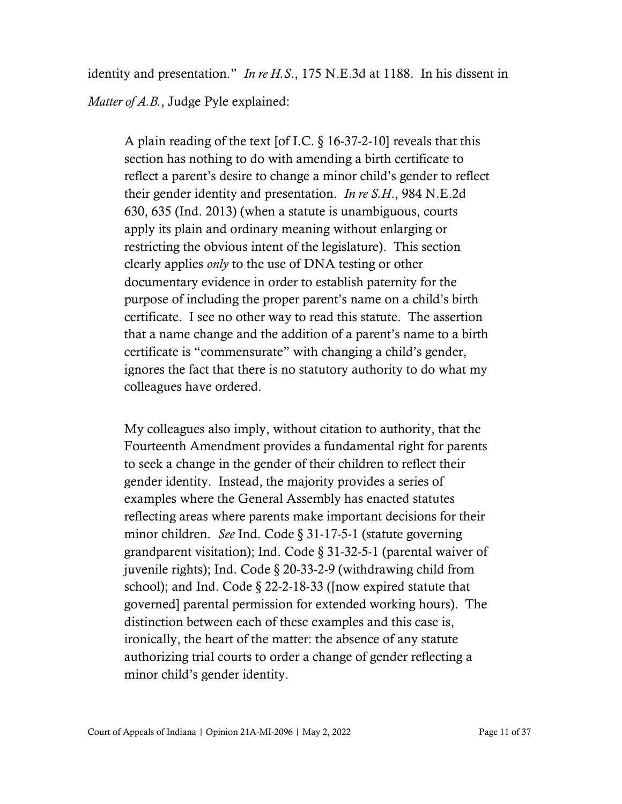identity and presentation." *In re H.S*., 175 N.E.3d at 1188. In his dissent in *Matter of A.B.*, Judge Pyle explained:

A plain reading of the text [of I.C. § 16-37-2-10] reveals that this section has nothing to do with amending a birth certificate to reflect a parent's desire to change a minor child's gender to reflect their gender identity and presentation. *In re S.H*., 984 N.E.2d 630, 635 (Ind. 2013) (when a statute is unambiguous, courts apply its plain and ordinary meaning without enlarging or restricting the obvious intent of the legislature). This section clearly applies *only* to the use of DNA testing or other documentary evidence in order to establish paternity for the purpose of including the proper parent's name on a child's birth certificate. I see no other way to read this statute. The assertion that a name change and the addition of a parent's name to a birth certificate is "commensurate" with changing a child's gender, ignores the fact that there is no statutory authority to do what my colleagues have ordered.

My colleagues also imply, without citation to authority, that the Fourteenth Amendment provides a fundamental right for parents to seek a change in the gender of their children to reflect their gender identity. Instead, the majority provides a series of examples where the General Assembly has enacted statutes reflecting areas where parents make important decisions for their minor children. *See* Ind. Code § 31-17-5-1 (statute governing grandparent visitation); Ind. Code § 31-32-5-1 (parental waiver of juvenile rights); Ind. Code § 20-33-2-9 (withdrawing child from school); and Ind. Code § 22-2-18-33 ([now expired statute that governed] parental permission for extended working hours). The distinction between each of these examples and this case is, ironically, the heart of the matter: the absence of any statute authorizing trial courts to order a change of gender reflecting a minor child's gender identity.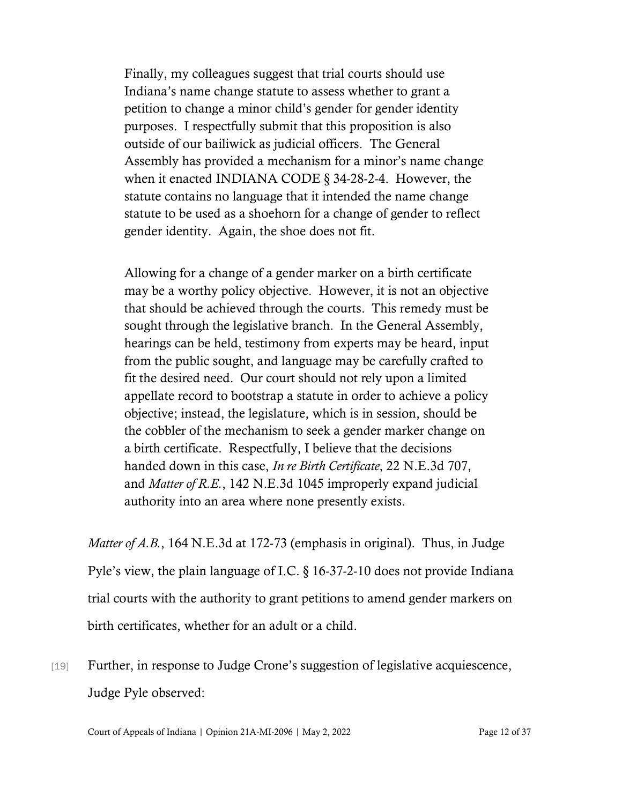Finally, my colleagues suggest that trial courts should use Indiana's name change statute to assess whether to grant a petition to change a minor child's gender for gender identity purposes. I respectfully submit that this proposition is also outside of our bailiwick as judicial officers. The General Assembly has provided a mechanism for a minor's name change when it enacted INDIANA CODE § 34-28-2-4. However, the statute contains no language that it intended the name change statute to be used as a shoehorn for a change of gender to reflect gender identity. Again, the shoe does not fit.

Allowing for a change of a gender marker on a birth certificate may be a worthy policy objective. However, it is not an objective that should be achieved through the courts. This remedy must be sought through the legislative branch. In the General Assembly, hearings can be held, testimony from experts may be heard, input from the public sought, and language may be carefully crafted to fit the desired need. Our court should not rely upon a limited appellate record to bootstrap a statute in order to achieve a policy objective; instead, the legislature, which is in session, should be the cobbler of the mechanism to seek a gender marker change on a birth certificate. Respectfully, I believe that the decisions handed down in this case, *In re Birth Certificate*, 22 N.E.3d 707, and *Matter of R.E.*, 142 N.E.3d 1045 improperly expand judicial authority into an area where none presently exists.

*Matter of A.B.*, 164 N.E.3d at 172-73 (emphasis in original). Thus, in Judge Pyle's view, the plain language of I.C. § 16-37-2-10 does not provide Indiana trial courts with the authority to grant petitions to amend gender markers on birth certificates, whether for an adult or a child.

[19] Further, in response to Judge Crone's suggestion of legislative acquiescence, Judge Pyle observed:

Court of Appeals of Indiana | Opinion 21A-MI-2096 | May 2, 2022 Page 12 of 37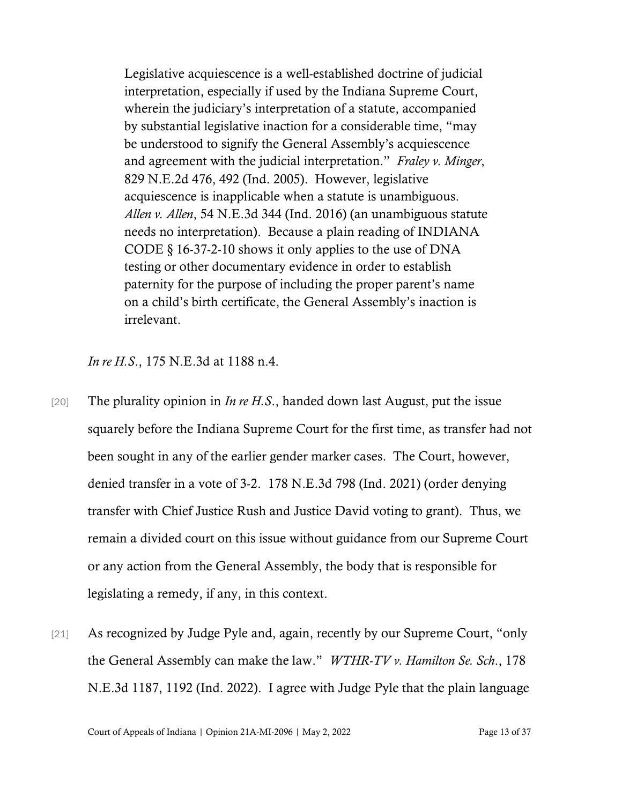Legislative acquiescence is a well-established doctrine of judicial interpretation, especially if used by the Indiana Supreme Court, wherein the judiciary's interpretation of a statute, accompanied by substantial legislative inaction for a considerable time, "may be understood to signify the General Assembly's acquiescence and agreement with the judicial interpretation." *Fraley v. Minger*, 829 N.E.2d 476, 492 (Ind. 2005). However, legislative acquiescence is inapplicable when a statute is unambiguous. *Allen v. Allen*, 54 N.E.3d 344 (Ind. 2016) (an unambiguous statute needs no interpretation). Because a plain reading of INDIANA CODE § 16-37-2-10 shows it only applies to the use of DNA testing or other documentary evidence in order to establish paternity for the purpose of including the proper parent's name on a child's birth certificate, the General Assembly's inaction is irrelevant.

*In re H.S*., 175 N.E.3d at 1188 n.4.

- [20] The plurality opinion in *In re H.S*., handed down last August, put the issue squarely before the Indiana Supreme Court for the first time, as transfer had not been sought in any of the earlier gender marker cases. The Court, however, denied transfer in a vote of 3-2. 178 N.E.3d 798 (Ind. 2021) (order denying transfer with Chief Justice Rush and Justice David voting to grant). Thus, we remain a divided court on this issue without guidance from our Supreme Court or any action from the General Assembly, the body that is responsible for legislating a remedy, if any, in this context.
- [21] As recognized by Judge Pyle and, again, recently by our Supreme Court, "only the General Assembly can make the law." *WTHR-TV v. Hamilton Se. Sch*., 178 N.E.3d 1187, 1192 (Ind. 2022). I agree with Judge Pyle that the plain language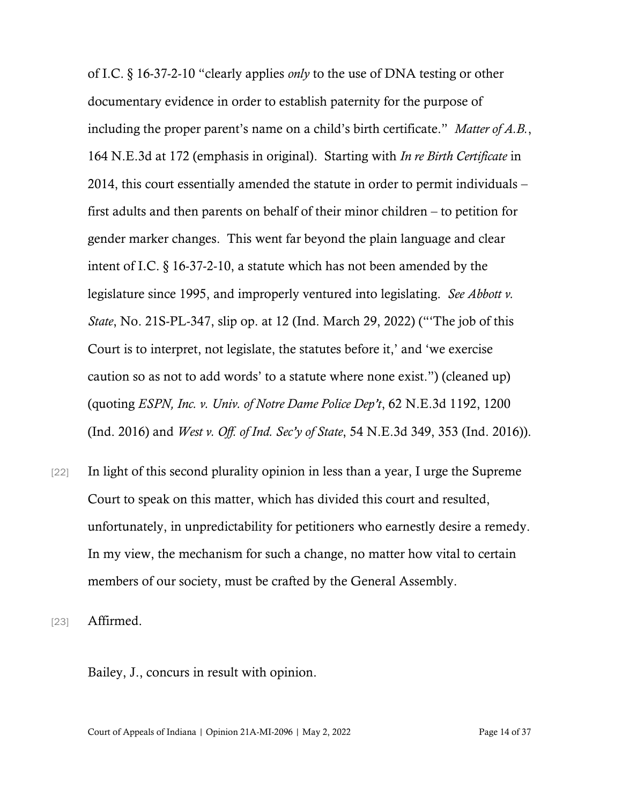of I.C. § 16-37-2-10 "clearly applies *only* to the use of DNA testing or other documentary evidence in order to establish paternity for the purpose of including the proper parent's name on a child's birth certificate." *Matter of A.B.*, 164 N.E.3d at 172 (emphasis in original). Starting with *In re Birth Certificate* in 2014, this court essentially amended the statute in order to permit individuals – first adults and then parents on behalf of their minor children – to petition for gender marker changes. This went far beyond the plain language and clear intent of I.C. § 16-37-2-10, a statute which has not been amended by the legislature since 1995, and improperly ventured into legislating. *See Abbott v. State*, No. 21S-PL-347, slip op. at 12 (Ind. March 29, 2022) ("'The job of this Court is to interpret, not legislate, the statutes before it,' and 'we exercise caution so as not to add words' to a statute where none exist.") (cleaned up) (quoting *ESPN, Inc. v. Univ. of Notre Dame Police Dep't*, 62 N.E.3d 1192, 1200 (Ind. 2016) and *West v. Off. of Ind. Sec'y of State*, 54 N.E.3d 349, 353 (Ind. 2016)).

[22] In light of this second plurality opinion in less than a year, I urge the Supreme Court to speak on this matter, which has divided this court and resulted, unfortunately, in unpredictability for petitioners who earnestly desire a remedy. In my view, the mechanism for such a change, no matter how vital to certain members of our society, must be crafted by the General Assembly.

[23] **Affirmed.** 

Bailey, J., concurs in result with opinion.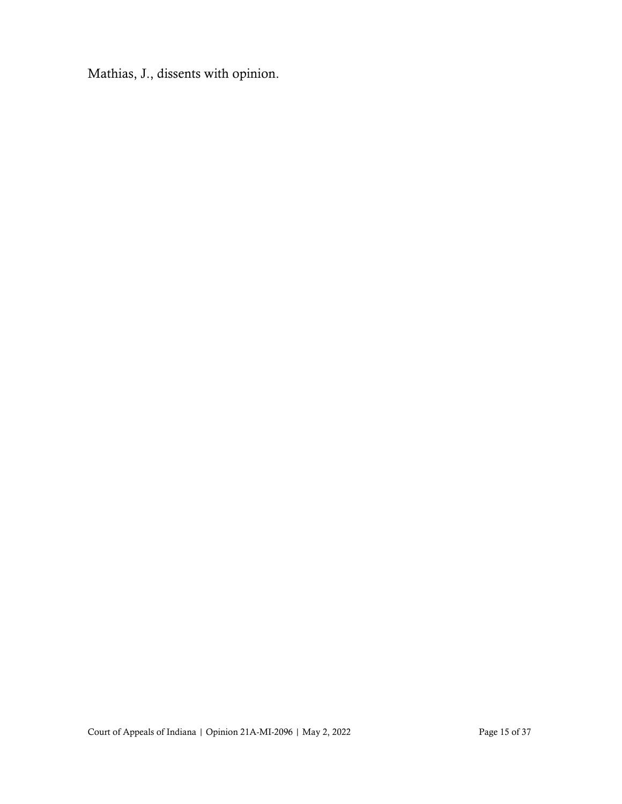Mathias, J., dissents with opinion.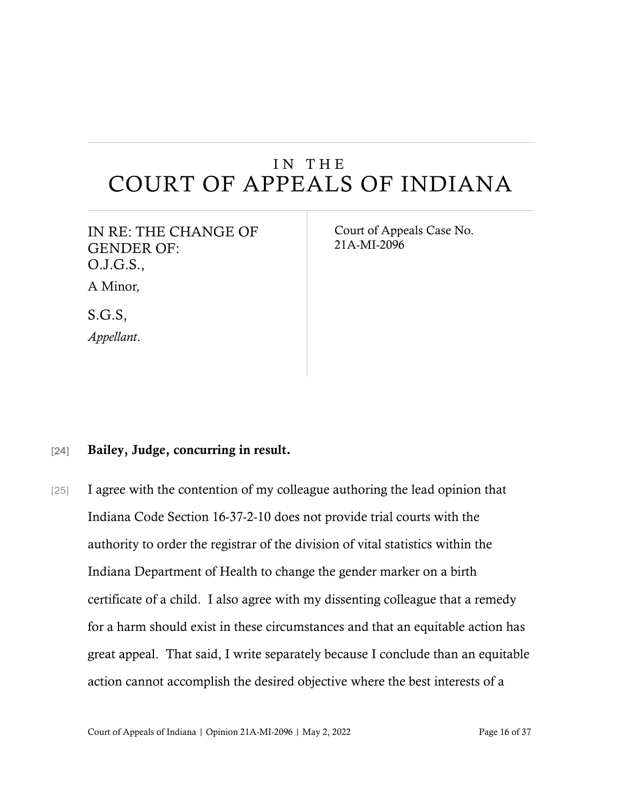# IN THE COURT OF APPEALS OF INDIANA

| IN RE: THE CHANGE OF |
|----------------------|
| <b>GENDER OF:</b>    |
| O.J.G.S.,            |
| A Minor,             |
| S.G.S.               |
| Appellant.           |

Court of Appeals Case No. 21A-MI-2096

#### [24] Bailey, Judge, concurring in result.

[25] I agree with the contention of my colleague authoring the lead opinion that Indiana Code Section 16-37-2-10 does not provide trial courts with the authority to order the registrar of the division of vital statistics within the Indiana Department of Health to change the gender marker on a birth certificate of a child. I also agree with my dissenting colleague that a remedy for a harm should exist in these circumstances and that an equitable action has great appeal. That said, I write separately because I conclude than an equitable action cannot accomplish the desired objective where the best interests of a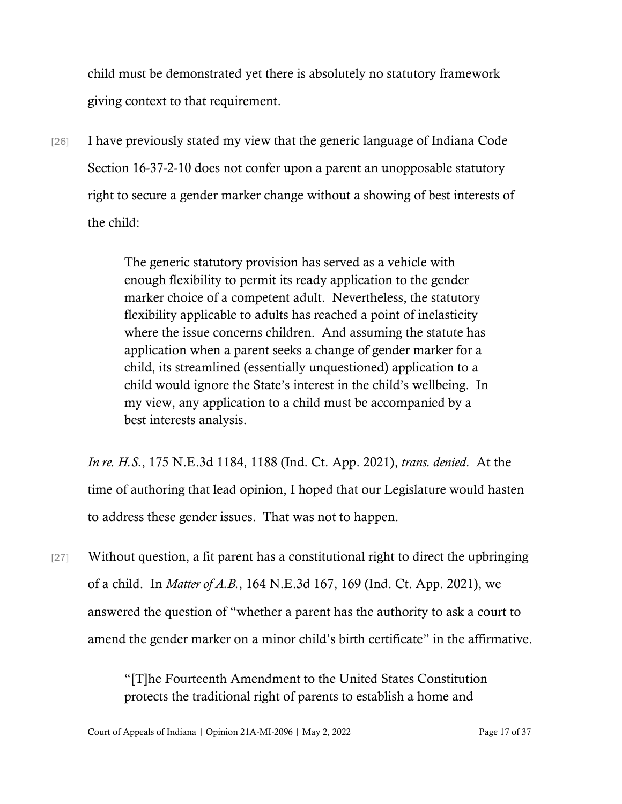child must be demonstrated yet there is absolutely no statutory framework giving context to that requirement.

[26] I have previously stated my view that the generic language of Indiana Code Section 16-37-2-10 does not confer upon a parent an unopposable statutory right to secure a gender marker change without a showing of best interests of the child:

> The generic statutory provision has served as a vehicle with enough flexibility to permit its ready application to the gender marker choice of a competent adult. Nevertheless, the statutory flexibility applicable to adults has reached a point of inelasticity where the issue concerns children. And assuming the statute has application when a parent seeks a change of gender marker for a child, its streamlined (essentially unquestioned) application to a child would ignore the State's interest in the child's wellbeing. In my view, any application to a child must be accompanied by a best interests analysis.

*In re. H.S.*, 175 N.E.3d 1184, 1188 (Ind. Ct. App. 2021), *trans. denied*. At the time of authoring that lead opinion, I hoped that our Legislature would hasten to address these gender issues. That was not to happen.

[27] Without question, a fit parent has a constitutional right to direct the upbringing of a child. In *Matter of A.B.*, 164 N.E.3d 167, 169 (Ind. Ct. App. 2021), we answered the question of "whether a parent has the authority to ask a court to amend the gender marker on a minor child's birth certificate" in the affirmative.

> "[T]he Fourteenth Amendment to the United States Constitution protects the traditional right of parents to establish a home and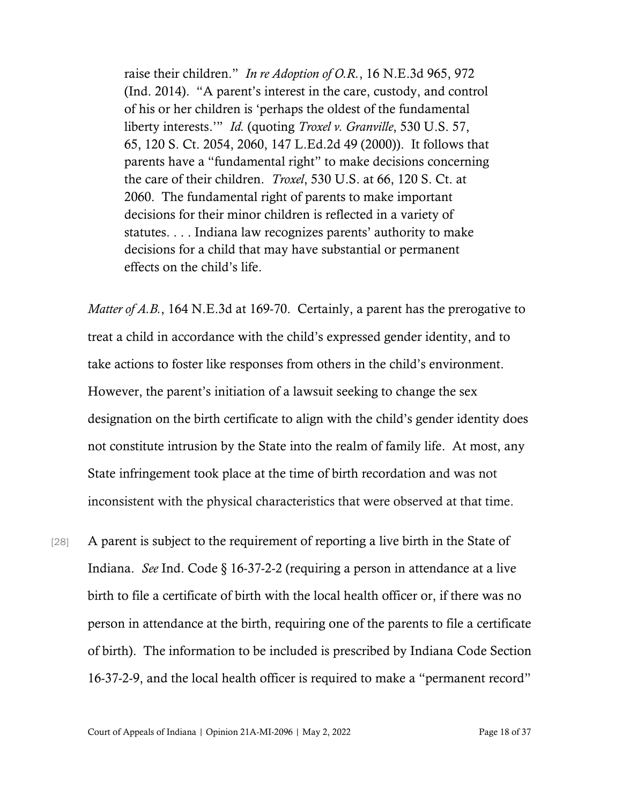raise their children." *In re Adoption of O.R.*, 16 N.E.3d 965, 972 (Ind. 2014). "A parent's interest in the care, custody, and control of his or her children is 'perhaps the oldest of the fundamental liberty interests.'" *Id.* (quoting *Troxel v. Granville*, 530 U.S. 57, 65, 120 S. Ct. 2054, 2060, 147 L.Ed.2d 49 (2000)). It follows that parents have a "fundamental right" to make decisions concerning the care of their children. *Troxel*, 530 U.S. at 66, 120 S. Ct. at 2060. The fundamental right of parents to make important decisions for their minor children is reflected in a variety of statutes. . . . Indiana law recognizes parents' authority to make decisions for a child that may have substantial or permanent effects on the child's life.

*Matter of A.B.*, 164 N.E.3d at 169-70. Certainly, a parent has the prerogative to treat a child in accordance with the child's expressed gender identity, and to take actions to foster like responses from others in the child's environment. However, the parent's initiation of a lawsuit seeking to change the sex designation on the birth certificate to align with the child's gender identity does not constitute intrusion by the State into the realm of family life. At most, any State infringement took place at the time of birth recordation and was not inconsistent with the physical characteristics that were observed at that time.

[28] A parent is subject to the requirement of reporting a live birth in the State of Indiana. *See* Ind. Code § 16-37-2-2 (requiring a person in attendance at a live birth to file a certificate of birth with the local health officer or, if there was no person in attendance at the birth, requiring one of the parents to file a certificate of birth). The information to be included is prescribed by Indiana Code Section 16-37-2-9, and the local health officer is required to make a "permanent record"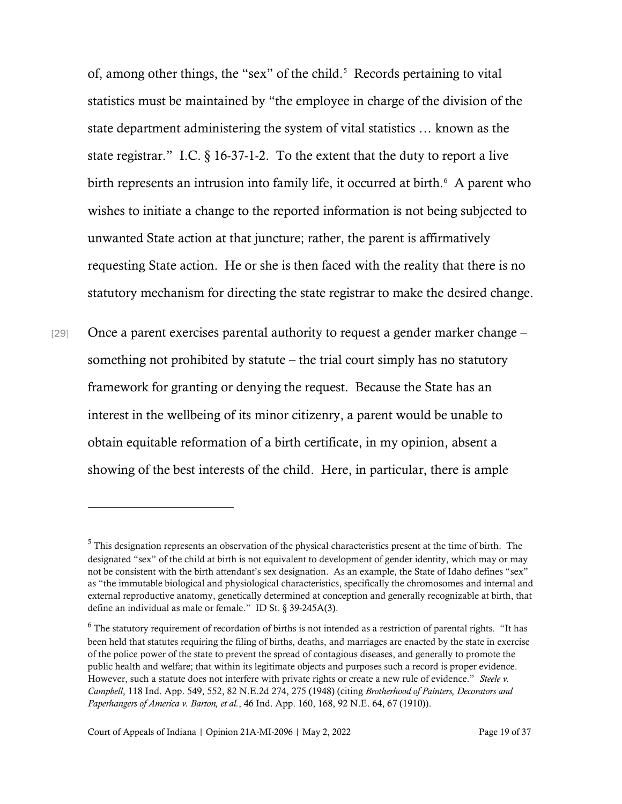of, among other things, the "sex" of the child.<sup>[5](#page-18-0)</sup> Records pertaining to vital statistics must be maintained by "the employee in charge of the division of the state department administering the system of vital statistics … known as the state registrar." I.C. § 16-37-1-2. To the extent that the duty to report a live birth represents an intrusion into family life, it occurred at birth.<sup>[6](#page-18-1)</sup> A parent who wishes to initiate a change to the reported information is not being subjected to unwanted State action at that juncture; rather, the parent is affirmatively requesting State action. He or she is then faced with the reality that there is no statutory mechanism for directing the state registrar to make the desired change.

[29] Once a parent exercises parental authority to request a gender marker change – something not prohibited by statute – the trial court simply has no statutory framework for granting or denying the request. Because the State has an interest in the wellbeing of its minor citizenry, a parent would be unable to obtain equitable reformation of a birth certificate, in my opinion, absent a showing of the best interests of the child. Here, in particular, there is ample

<span id="page-18-0"></span><sup>5</sup> This designation represents an observation of the physical characteristics present at the time of birth. The designated "sex" of the child at birth is not equivalent to development of gender identity, which may or may not be consistent with the birth attendant's sex designation. As an example, the State of Idaho defines "sex" as "the immutable biological and physiological characteristics, specifically the chromosomes and internal and external reproductive anatomy, genetically determined at conception and generally recognizable at birth, that define an individual as male or female." ID St. § 39-245A(3).

<span id="page-18-1"></span><sup>&</sup>lt;sup>6</sup> The statutory requirement of recordation of births is not intended as a restriction of parental rights. "It has been held that statutes requiring the filing of births, deaths, and marriages are enacted by the state in exercise of the police power of the state to prevent the spread of contagious diseases, and generally to promote the public health and welfare; that within its legitimate objects and purposes such a record is proper evidence. However, such a statute does not interfere with private rights or create a new rule of evidence." *Steele v. Campbell*, 118 Ind. App. 549, 552, 82 N.E.2d 274, 275 (1948) (citing *Brotherhood of Painters, Decorators and Paperhangers of America v. Barton, et al.*, 46 Ind. App. 160, 168, 92 N.E. 64, 67 (1910)).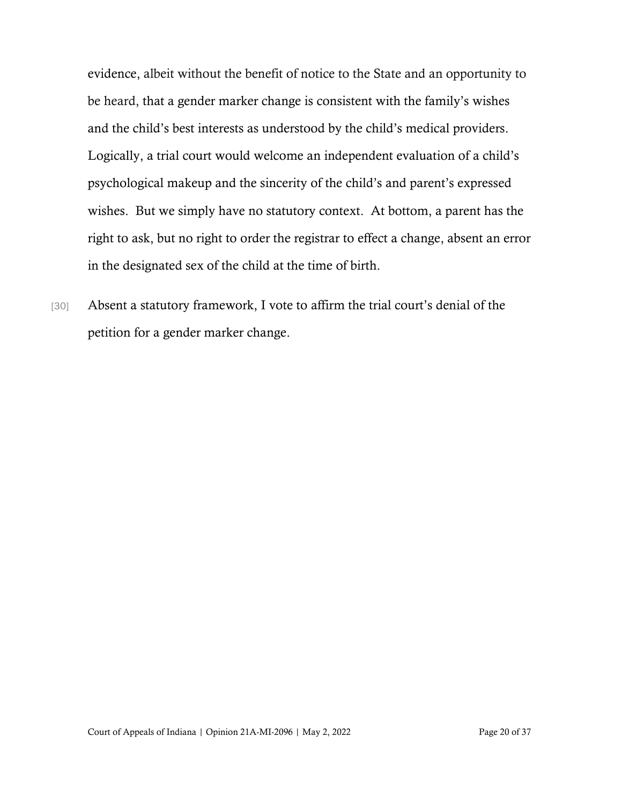evidence, albeit without the benefit of notice to the State and an opportunity to be heard, that a gender marker change is consistent with the family's wishes and the child's best interests as understood by the child's medical providers. Logically, a trial court would welcome an independent evaluation of a child's psychological makeup and the sincerity of the child's and parent's expressed wishes. But we simply have no statutory context. At bottom, a parent has the right to ask, but no right to order the registrar to effect a change, absent an error in the designated sex of the child at the time of birth.

[30] Absent a statutory framework, I vote to affirm the trial court's denial of the petition for a gender marker change.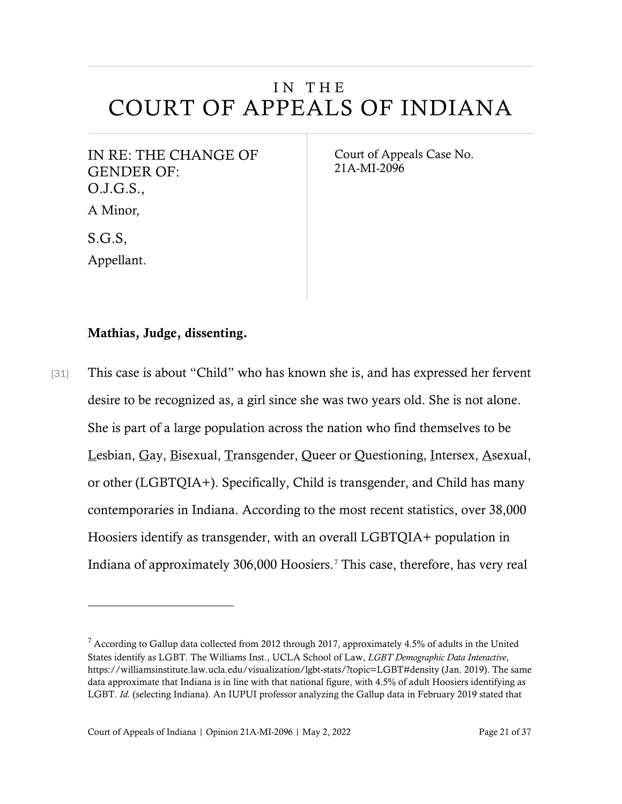## IN THE COURT OF APPEALS OF INDIANA

IN RE: THE CHANGE OF GENDER OF: O.J.G.S., A Minor*,* 

Court of Appeals Case No. 21A-MI-2096

Appellant.

S.G.S,

#### Mathias, Judge, dissenting.

[31] This case is about "Child" who has known she is, and has expressed her fervent desire to be recognized as, a girl since she was two years old. She is not alone. She is part of a large population across the nation who find themselves to be Lesbian, Gay, Bisexual, Transgender, Queer or Questioning, Intersex, Asexual, or other (LGBTQIA+). Specifically, Child is transgender, and Child has many contemporaries in Indiana. According to the most recent statistics, over 38,000 Hoosiers identify as transgender, with an overall LGBTQIA+ population in Indiana of approximately 306,000 Hoosiers.[7](#page-20-0) This case, therefore, has very real

<span id="page-20-0"></span> $7$  According to Gallup data collected from 2012 through 2017, approximately 4.5% of adults in the United States identify as LGBT. The Williams Inst., UCLA School of Law, *LGBT Demographic Data Interactive*, https://williamsinstitute.law.ucla.edu/visualization/lgbt-stats/?topic=LGBT#density (Jan. 2019). The same data approximate that Indiana is in line with that national figure, with 4.5% of adult Hoosiers identifying as LGBT. *Id.* (selecting Indiana). An IUPUI professor analyzing the Gallup data in February 2019 stated that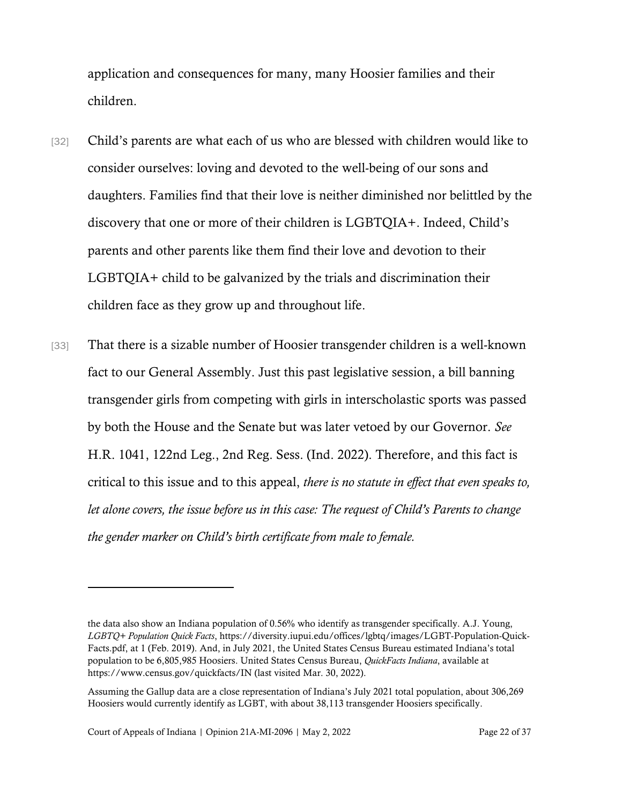application and consequences for many, many Hoosier families and their children.

- [32] Child's parents are what each of us who are blessed with children would like to consider ourselves: loving and devoted to the well-being of our sons and daughters. Families find that their love is neither diminished nor belittled by the discovery that one or more of their children is LGBTQIA+. Indeed, Child's parents and other parents like them find their love and devotion to their LGBTQIA+ child to be galvanized by the trials and discrimination their children face as they grow up and throughout life.
- [33] That there is a sizable number of Hoosier transgender children is a well-known fact to our General Assembly. Just this past legislative session, a bill banning transgender girls from competing with girls in interscholastic sports was passed by both the House and the Senate but was later vetoed by our Governor. *See* H.R. 1041, 122nd Leg., 2nd Reg. Sess. (Ind. 2022). Therefore, and this fact is critical to this issue and to this appeal, *there is no statute in effect that even speaks to, let alone covers, the issue before us in this case: The request of Child's Parents to change the gender marker on Child's birth certificate from male to female.*

the data also show an Indiana population of 0.56% who identify as transgender specifically. A.J. Young, *LGBTQ+ Population Quick Facts*, https://diversity.iupui.edu/offices/lgbtq/images/LGBT-Population-Quick-Facts.pdf, at 1 (Feb. 2019). And, in July 2021, the United States Census Bureau estimated Indiana's total population to be 6,805,985 Hoosiers. United States Census Bureau, *QuickFacts Indiana*, available at https://www.census.gov/quickfacts/IN (last visited Mar. 30, 2022).

Assuming the Gallup data are a close representation of Indiana's July 2021 total population, about 306,269 Hoosiers would currently identify as LGBT, with about 38,113 transgender Hoosiers specifically.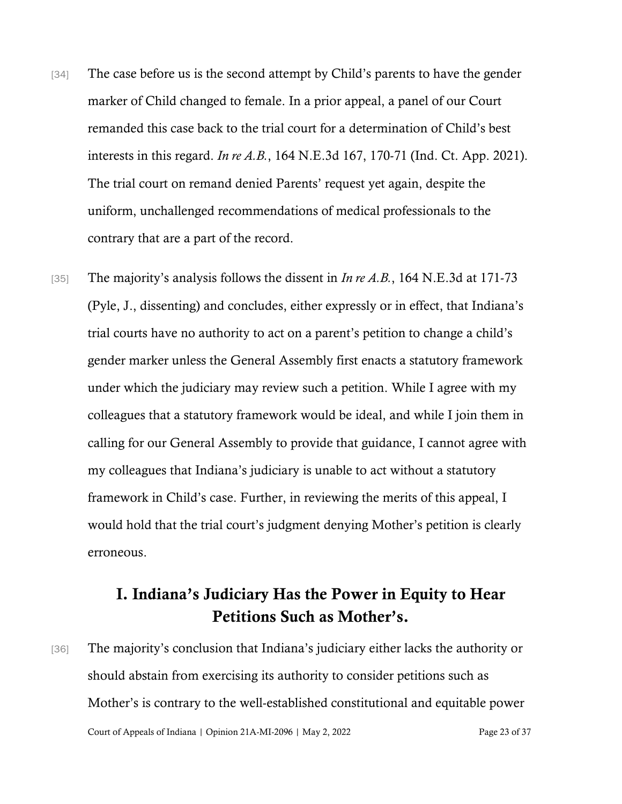- [34] The case before us is the second attempt by Child's parents to have the gender marker of Child changed to female. In a prior appeal, a panel of our Court remanded this case back to the trial court for a determination of Child's best interests in this regard. *In re A.B.*, 164 N.E.3d 167, 170-71 (Ind. Ct. App. 2021). The trial court on remand denied Parents' request yet again, despite the uniform, unchallenged recommendations of medical professionals to the contrary that are a part of the record.
- [35] The majority's analysis follows the dissent in *In re A.B.*, 164 N.E.3d at 171-73 (Pyle, J., dissenting) and concludes, either expressly or in effect, that Indiana's trial courts have no authority to act on a parent's petition to change a child's gender marker unless the General Assembly first enacts a statutory framework under which the judiciary may review such a petition. While I agree with my colleagues that a statutory framework would be ideal, and while I join them in calling for our General Assembly to provide that guidance, I cannot agree with my colleagues that Indiana's judiciary is unable to act without a statutory framework in Child's case. Further, in reviewing the merits of this appeal, I would hold that the trial court's judgment denying Mother's petition is clearly erroneous.

## I. Indiana's Judiciary Has the Power in Equity to Hear Petitions Such as Mother's.

Court of Appeals of Indiana | Opinion 21A-MI-2096 | May 2, 2022 Page 23 of 37 [36] The majority's conclusion that Indiana's judiciary either lacks the authority or should abstain from exercising its authority to consider petitions such as Mother's is contrary to the well-established constitutional and equitable power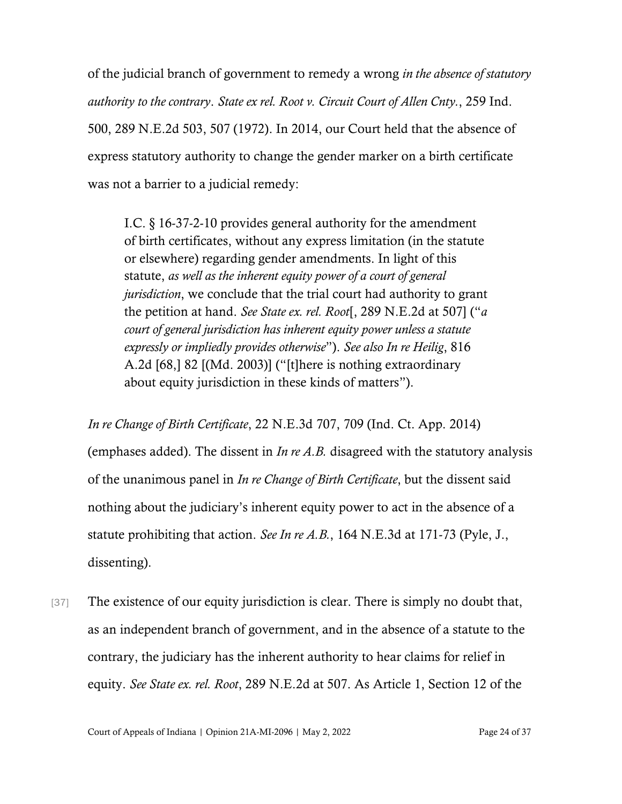of the judicial branch of government to remedy a wrong *in the absence of statutory authority to the contrary*. *State ex rel. Root v. Circuit Court of Allen Cnty.*, 259 Ind. 500, 289 N.E.2d 503, 507 (1972). In 2014, our Court held that the absence of express statutory authority to change the gender marker on a birth certificate was not a barrier to a judicial remedy:

I.C. § 16-37-2-10 provides general authority for the amendment of birth certificates, without any express limitation (in the statute or elsewhere) regarding gender amendments. In light of this statute, *as well as the inherent equity power of a court of general jurisdiction*, we conclude that the trial court had authority to grant the petition at hand. *See State ex. rel. Root*[, 289 N.E.2d at 507] ("*a court of general jurisdiction has inherent equity power unless a statute expressly or impliedly provides otherwise*"). *See also In re Heilig*, 816 A.2d [68,] 82 [(Md. 2003)] ("[t]here is nothing extraordinary about equity jurisdiction in these kinds of matters").

*In re Change of Birth Certificate*, 22 N.E.3d 707, 709 (Ind. Ct. App. 2014) (emphases added). The dissent in *In re A.B.* disagreed with the statutory analysis of the unanimous panel in *In re Change of Birth Certificate*, but the dissent said nothing about the judiciary's inherent equity power to act in the absence of a statute prohibiting that action. *See In re A.B.*, 164 N.E.3d at 171-73 (Pyle, J., dissenting).

[37] The existence of our equity jurisdiction is clear. There is simply no doubt that, as an independent branch of government, and in the absence of a statute to the contrary, the judiciary has the inherent authority to hear claims for relief in equity. *See State ex. rel. Root*, 289 N.E.2d at 507. As Article 1, Section 12 of the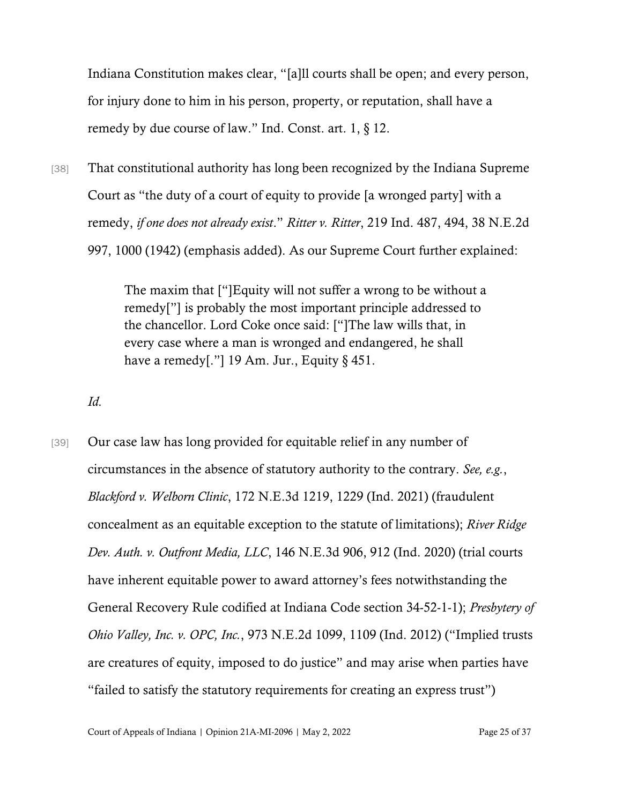Indiana Constitution makes clear, "[a]ll courts shall be open; and every person, for injury done to him in his person, property, or reputation, shall have a remedy by due course of law." Ind. Const. art. 1, § 12.

[38] That constitutional authority has long been recognized by the Indiana Supreme Court as "the duty of a court of equity to provide [a wronged party] with a remedy, *if one does not already exist*." *Ritter v. Ritter*, 219 Ind. 487, 494, 38 N.E.2d 997, 1000 (1942) (emphasis added). As our Supreme Court further explained:

> The maxim that ["]Equity will not suffer a wrong to be without a remedy["] is probably the most important principle addressed to the chancellor. Lord Coke once said: ["]The law wills that, in every case where a man is wronged and endangered, he shall have a remedy[."] 19 Am. Jur., Equity  $\S$  451.

*Id.*

[39] Our case law has long provided for equitable relief in any number of circumstances in the absence of statutory authority to the contrary. *See, e.g.*, *Blackford v. Welborn Clinic*, 172 N.E.3d 1219, 1229 (Ind. 2021) (fraudulent concealment as an equitable exception to the statute of limitations); *River Ridge Dev. Auth. v. Outfront Media, LLC*, 146 N.E.3d 906, 912 (Ind. 2020) (trial courts have inherent equitable power to award attorney's fees notwithstanding the General Recovery Rule codified at [Indiana Code section 34-52-1-1\)](https://www.westlaw.com/Document/N73780500816F11DB8132CD13D2280436/View/FullText.html?transitionType=Default&contextData=(sc.Default)&VR=3.0&RS=cblt1.0); *[Presbytery of](https://www.westlaw.com/Document/I07d895abeb9311e1b60bb297d3d07bc5/View/FullText.html?transitionType=Default&contextData=(sc.Default)&VR=3.0&RS=cblt1.0)  [Ohio Valley, Inc. v. OPC, Inc.](https://www.westlaw.com/Document/I07d895abeb9311e1b60bb297d3d07bc5/View/FullText.html?transitionType=Default&contextData=(sc.Default)&VR=3.0&RS=cblt1.0)*[, 973 N.E.2d 1099, 1109 \(Ind. 2012\)](https://www.westlaw.com/Document/I07d895abeb9311e1b60bb297d3d07bc5/View/FullText.html?transitionType=Default&contextData=(sc.Default)&VR=3.0&RS=cblt1.0) ("Implied trusts are creatures of equity, imposed to do justice" and may arise when parties have "failed to satisfy the statutory requirements for creating an express trust")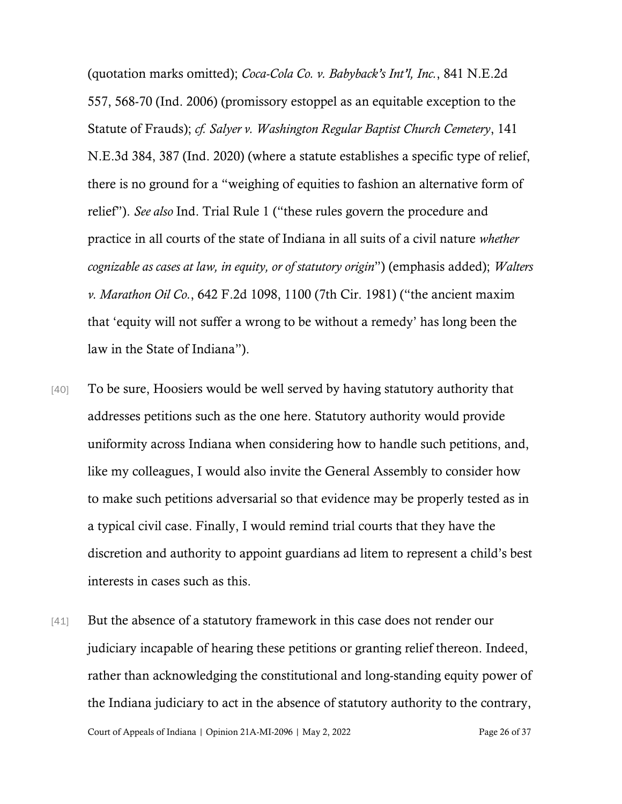(quotation marks omitted); *[Coca-Cola Co. v. Babyback's Int'l, Inc.](https://www.westlaw.com/Document/I427b79b4936111da8ccab4c14e983401/View/FullText.html?transitionType=Default&contextData=(sc.Default)&VR=3.0&RS=cblt1.0)*[, 841 N.E.2d](https://www.westlaw.com/Document/I427b79b4936111da8ccab4c14e983401/View/FullText.html?transitionType=Default&contextData=(sc.Default)&VR=3.0&RS=cblt1.0)  [557, 568-70 \(Ind. 2006\)](https://www.westlaw.com/Document/I427b79b4936111da8ccab4c14e983401/View/FullText.html?transitionType=Default&contextData=(sc.Default)&VR=3.0&RS=cblt1.0) (promissory estoppel as an equitable exception to the Statute of Frauds); *cf. Salyer v. Washington Regular Baptist Church Cemetery*, 141 N.E.3d 384, 387 (Ind. 2020) (where a statute establishes a specific type of relief, there is no ground for a "weighing of equities to fashion an alternative form of relief"). *See also* Ind. Trial Rule 1 ("these rules govern the procedure and practice in all courts of the state of Indiana in all suits of a civil nature *whether cognizable as cases at law, in equity, or of statutory origin*") (emphasis added); *Walters v. Marathon Oil Co.*, 642 F.2d 1098, 1100 (7th Cir. 1981) ("the ancient maxim that 'equity will not suffer a wrong to be without a remedy' has long been the law in the State of Indiana").

- [40] To be sure, Hoosiers would be well served by having statutory authority that addresses petitions such as the one here. Statutory authority would provide uniformity across Indiana when considering how to handle such petitions, and, like my colleagues, I would also invite the General Assembly to consider how to make such petitions adversarial so that evidence may be properly tested as in a typical civil case. Finally, I would remind trial courts that they have the discretion and authority to appoint guardians ad litem to represent a child's best interests in cases such as this.
- Court of Appeals of Indiana | Opinion 21A-MI-2096 | May 2, 2022 Page 26 of 37 [41] But the absence of a statutory framework in this case does not render our judiciary incapable of hearing these petitions or granting relief thereon. Indeed, rather than acknowledging the constitutional and long-standing equity power of the Indiana judiciary to act in the absence of statutory authority to the contrary,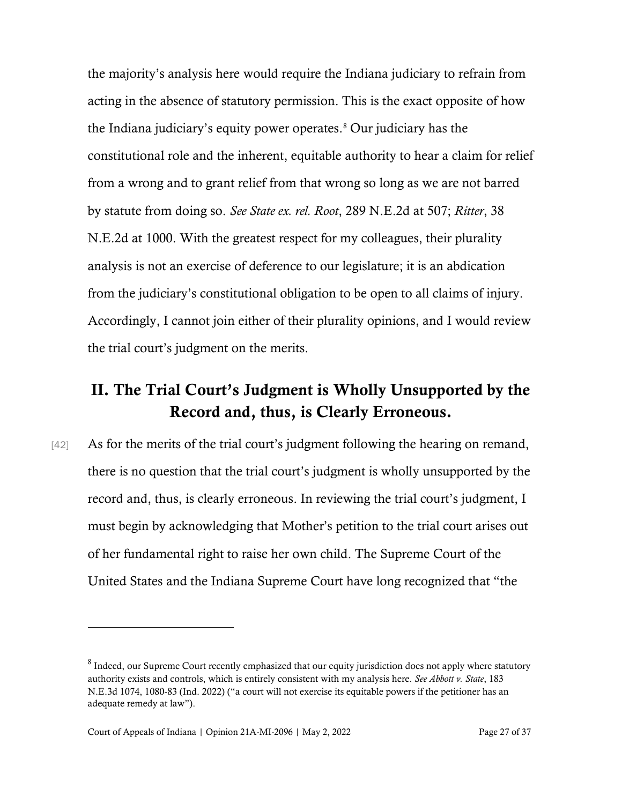the majority's analysis here would require the Indiana judiciary to refrain from acting in the absence of statutory permission. This is the exact opposite of how the Indiana judiciary's equity power operates.<sup>[8](#page-26-0)</sup> Our judiciary has the constitutional role and the inherent, equitable authority to hear a claim for relief from a wrong and to grant relief from that wrong so long as we are not barred by statute from doing so. *See [State ex. rel. Root](https://www.westlaw.com/Document/Ic7ce45c0d92211d983e7e9deff98dc6f/View/FullText.html?transitionType=Default&contextData=(sc.Default)&VR=3.0&RS=cblt1.0)*[, 289 N.E.2d at 507;](https://www.westlaw.com/Document/Ic7ce45c0d92211d983e7e9deff98dc6f/View/FullText.html?transitionType=Default&contextData=(sc.Default)&VR=3.0&RS=cblt1.0) *[Ritter](https://www.westlaw.com/Document/Id35e236acf2211d9a489ee624f1f6e1a/View/FullText.html?transitionType=Default&contextData=(sc.Default)&VR=3.0&RS=cblt1.0)*[, 38](https://www.westlaw.com/Document/Id35e236acf2211d9a489ee624f1f6e1a/View/FullText.html?transitionType=Default&contextData=(sc.Default)&VR=3.0&RS=cblt1.0)  [N.E.2d at 1000.](https://www.westlaw.com/Document/Id35e236acf2211d9a489ee624f1f6e1a/View/FullText.html?transitionType=Default&contextData=(sc.Default)&VR=3.0&RS=cblt1.0) With the greatest respect for my colleagues, their plurality analysis is not an exercise of deference to our legislature; it is an abdication from the judiciary's constitutional obligation to be open to all claims of injury. Accordingly, I cannot join either of their plurality opinions, and I would review the trial court's judgment on the merits.

## II. The Trial Court's Judgment is Wholly Unsupported by the Record and, thus, is Clearly Erroneous.

[42] As for the merits of the trial court's judgment following the hearing on remand, there is no question that the trial court's judgment is wholly unsupported by the record and, thus, is clearly erroneous. In reviewing the trial court's judgment, I must begin by acknowledging that Mother's petition to the trial court arises out of her fundamental right to raise her own child. The Supreme Court of the United States and the Indiana Supreme Court have long recognized that "the

<span id="page-26-0"></span><sup>&</sup>lt;sup>8</sup> Indeed, our Supreme Court recently emphasized that our equity jurisdiction does not apply where statutory authority exists and controls, which is entirely consistent with my analysis here. *See Abbott v. State*, 183 N.E.3d 1074, 1080-83 (Ind. 2022) ("a court will not exercise its equitable powers if the petitioner has an adequate remedy at law").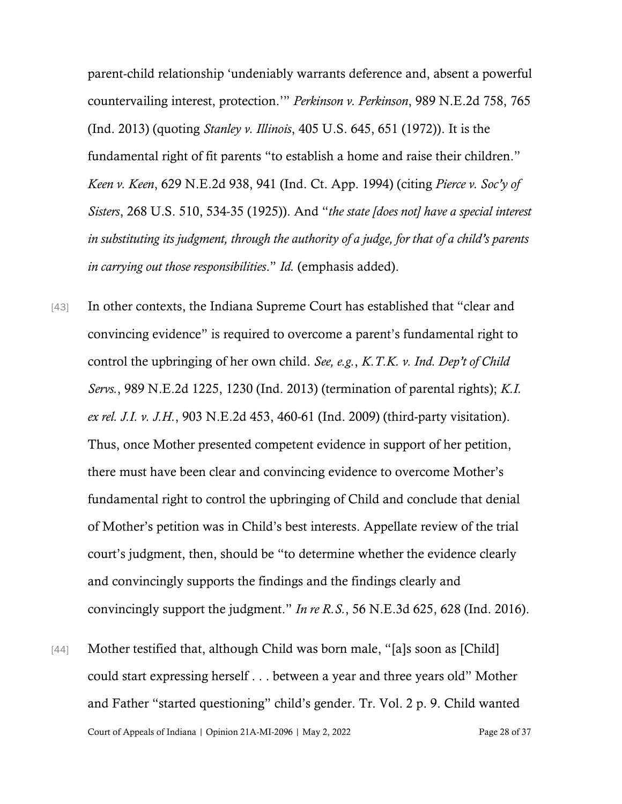parent-child relationship 'undeniably warrants deference and, absent a powerful countervailing interest, protection.'" *Perkinson v. Perkinson*, 989 N.E.2d 758, 765 (Ind. 2013) (quoting *Stanley v. Illinois*, 405 U.S. 645, 651 (1972)). It is the fundamental right of fit parents "to establish a home and raise their children." *Keen v. Keen*, 629 N.E.2d 938, 941 (Ind. Ct. App. 1994) (citing *Pierce v. Soc'y of Sisters*, 268 U.S. 510, 534-35 (1925)). And "*the state [does not] have a special interest in substituting its judgment, through the authority of a judge, for that of a child's parents in carrying out those responsibilities*." *Id.* (emphasis added).

- [43] In other contexts, the Indiana Supreme Court has established that "clear and convincing evidence" is required to overcome a parent's fundamental right to control the upbringing of her own child. *See, e.g.*, *K.T.K. v. Ind. Dep't of Child Servs.*, 989 N.E.2d 1225, 1230 (Ind. 2013) (termination of parental rights); *K.I. ex rel. J.I. v. J.H.*, 903 N.E.2d 453, 460-61 (Ind. 2009) (third-party visitation). Thus, once Mother presented competent evidence in support of her petition, there must have been clear and convincing evidence to overcome Mother's fundamental right to control the upbringing of Child and conclude that denial of Mother's petition was in Child's best interests. Appellate review of the trial court's judgment, then, should be "to determine whether the evidence clearly and convincingly supports the findings and the findings clearly and convincingly support the judgment." *In re R.S.*, 56 N.E.3d 625, 628 (Ind. 2016).
- Court of Appeals of Indiana | Opinion 21A-MI-2096 | May 2, 2022 Page 28 of 37 [44] Mother testified that, although Child was born male, "[a]s soon as [Child] could start expressing herself . . . between a year and three years old" Mother and Father "started questioning" child's gender. Tr. Vol. 2 p. 9. Child wanted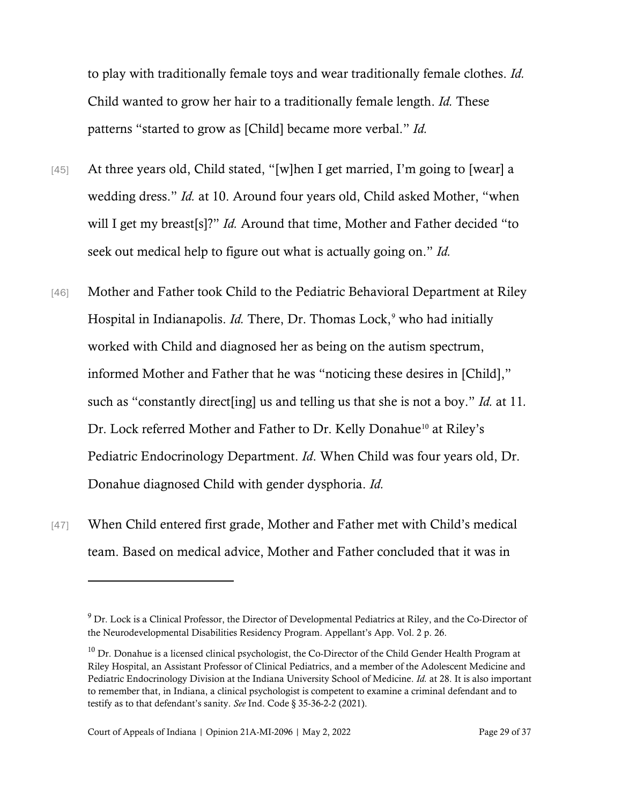to play with traditionally female toys and wear traditionally female clothes. *Id.* Child wanted to grow her hair to a traditionally female length. *Id.* These patterns "started to grow as [Child] became more verbal." *Id.*

- [45] At three years old, Child stated, "[w]hen I get married, I'm going to [wear] a wedding dress." *Id.* at 10. Around four years old, Child asked Mother, "when will I get my breast[s]?" *Id.* Around that time, Mother and Father decided "to seek out medical help to figure out what is actually going on." *Id.*
- [46] Mother and Father took Child to the Pediatric Behavioral Department at Riley Hospital in Indianapolis. *Id.* There, Dr. Thomas Lock,<sup>[9](#page-28-0)</sup> who had initially worked with Child and diagnosed her as being on the autism spectrum, informed Mother and Father that he was "noticing these desires in [Child]," such as "constantly direct[ing] us and telling us that she is not a boy." *Id.* at 11*.* Dr. Lock referred Mother and Father to Dr. Kelly Donahue<sup>[10](#page-28-1)</sup> at Riley's Pediatric Endocrinology Department. *Id*. When Child was four years old, Dr. Donahue diagnosed Child with gender dysphoria. *Id.*
- [47] When Child entered first grade, Mother and Father met with Child's medical team. Based on medical advice, Mother and Father concluded that it was in

<span id="page-28-0"></span><sup>&</sup>lt;sup>9</sup> Dr. Lock is a Clinical Professor, the Director of Developmental Pediatrics at Riley, and the Co-Director of the Neurodevelopmental Disabilities Residency Program. Appellant's App. Vol. 2 p. 26.

<span id="page-28-1"></span> $10$  Dr. Donahue is a licensed clinical psychologist, the Co-Director of the Child Gender Health Program at Riley Hospital, an Assistant Professor of Clinical Pediatrics, and a member of the Adolescent Medicine and Pediatric Endocrinology Division at the Indiana University School of Medicine. *Id.* at 28. It is also important to remember that, in Indiana, a clinical psychologist is competent to examine a criminal defendant and to testify as to that defendant's sanity. *See* Ind. Code § 35-36-2-2 (2021).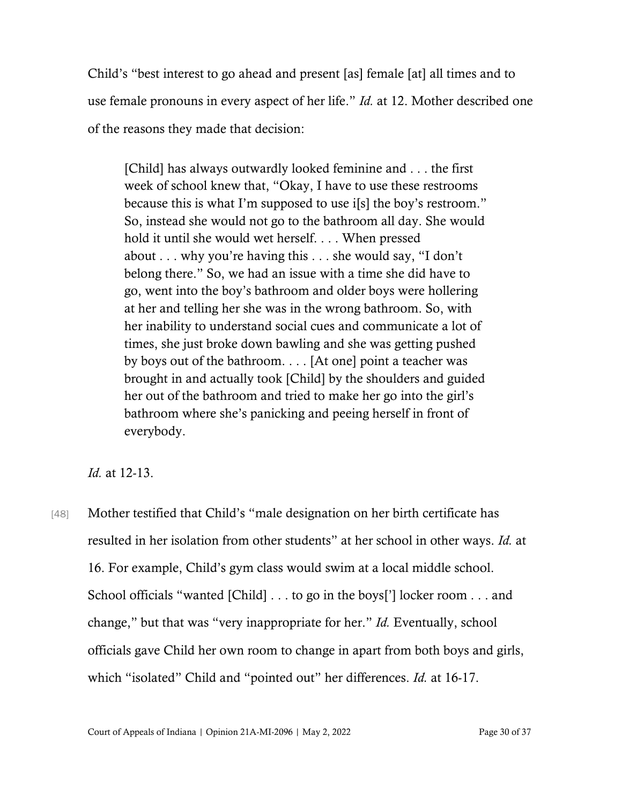Child's "best interest to go ahead and present [as] female [at] all times and to use female pronouns in every aspect of her life." *Id.* at 12. Mother described one of the reasons they made that decision:

[Child] has always outwardly looked feminine and . . . the first week of school knew that, "Okay, I have to use these restrooms because this is what I'm supposed to use i[s] the boy's restroom." So, instead she would not go to the bathroom all day. She would hold it until she would wet herself. . . . When pressed about . . . why you're having this . . . she would say, "I don't belong there." So, we had an issue with a time she did have to go, went into the boy's bathroom and older boys were hollering at her and telling her she was in the wrong bathroom. So, with her inability to understand social cues and communicate a lot of times, she just broke down bawling and she was getting pushed by boys out of the bathroom. . . . [At one] point a teacher was brought in and actually took [Child] by the shoulders and guided her out of the bathroom and tried to make her go into the girl's bathroom where she's panicking and peeing herself in front of everybody.

*Id.* at 12-13.

[48] Mother testified that Child's "male designation on her birth certificate has resulted in her isolation from other students" at her school in other ways. *Id.* at 16. For example, Child's gym class would swim at a local middle school. School officials "wanted [Child] . . . to go in the boys['] locker room . . . and change," but that was "very inappropriate for her." *Id.* Eventually, school officials gave Child her own room to change in apart from both boys and girls, which "isolated" Child and "pointed out" her differences. *Id.* at 16-17.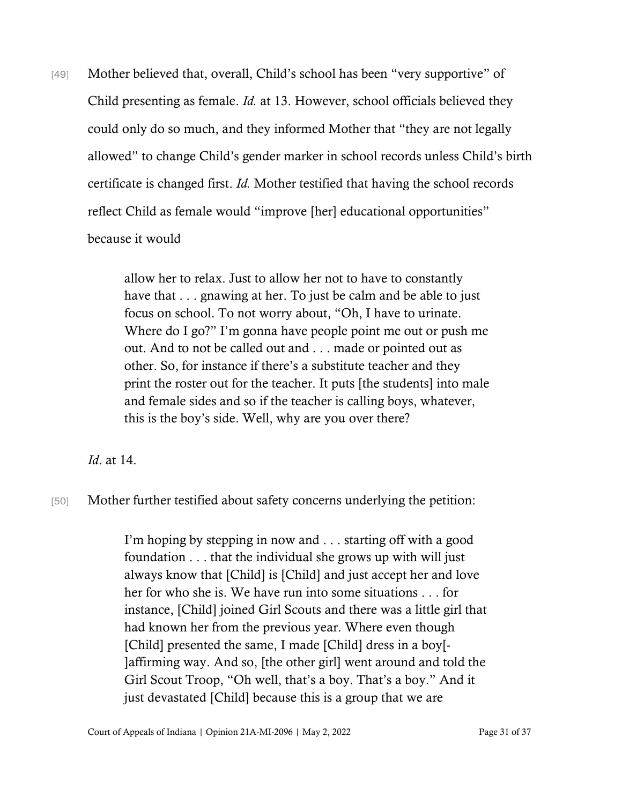[49] Mother believed that, overall, Child's school has been "very supportive" of Child presenting as female. *Id.* at 13. However, school officials believed they could only do so much, and they informed Mother that "they are not legally allowed" to change Child's gender marker in school records unless Child's birth certificate is changed first. *Id.* Mother testified that having the school records reflect Child as female would "improve [her] educational opportunities" because it would

> allow her to relax. Just to allow her not to have to constantly have that . . . gnawing at her. To just be calm and be able to just focus on school. To not worry about, "Oh, I have to urinate. Where do I go?" I'm gonna have people point me out or push me out. And to not be called out and . . . made or pointed out as other. So, for instance if there's a substitute teacher and they print the roster out for the teacher. It puts [the students] into male and female sides and so if the teacher is calling boys, whatever, this is the boy's side. Well, why are you over there?

*Id*. at 14.

[50] Mother further testified about safety concerns underlying the petition:

I'm hoping by stepping in now and . . . starting off with a good foundation . . . that the individual she grows up with will just always know that [Child] is [Child] and just accept her and love her for who she is. We have run into some situations . . . for instance, [Child] joined Girl Scouts and there was a little girl that had known her from the previous year. Where even though [Child] presented the same, I made [Child] dress in a boy[- ]affirming way. And so, [the other girl] went around and told the Girl Scout Troop, "Oh well, that's a boy. That's a boy." And it just devastated [Child] because this is a group that we are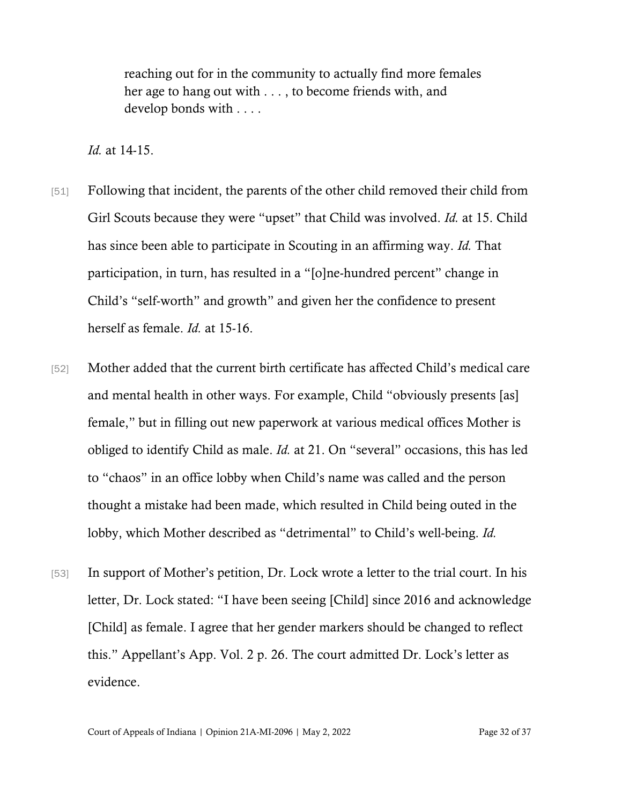reaching out for in the community to actually find more females her age to hang out with . . . , to become friends with, and develop bonds with . . . .

*Id.* at 14-15.

- [51] Following that incident, the parents of the other child removed their child from Girl Scouts because they were "upset" that Child was involved. *Id.* at 15. Child has since been able to participate in Scouting in an affirming way. *Id.* That participation, in turn, has resulted in a "[o]ne-hundred percent" change in Child's "self-worth" and growth" and given her the confidence to present herself as female. *Id.* at 15-16.
- [52] Mother added that the current birth certificate has affected Child's medical care and mental health in other ways. For example, Child "obviously presents [as] female," but in filling out new paperwork at various medical offices Mother is obliged to identify Child as male. *Id.* at 21. On "several" occasions, this has led to "chaos" in an office lobby when Child's name was called and the person thought a mistake had been made, which resulted in Child being outed in the lobby, which Mother described as "detrimental" to Child's well-being. *Id.*
- [53] In support of Mother's petition, Dr. Lock wrote a letter to the trial court. In his letter, Dr. Lock stated: "I have been seeing [Child] since 2016 and acknowledge [Child] as female. I agree that her gender markers should be changed to reflect this." Appellant's App. Vol. 2 p. 26. The court admitted Dr. Lock's letter as evidence.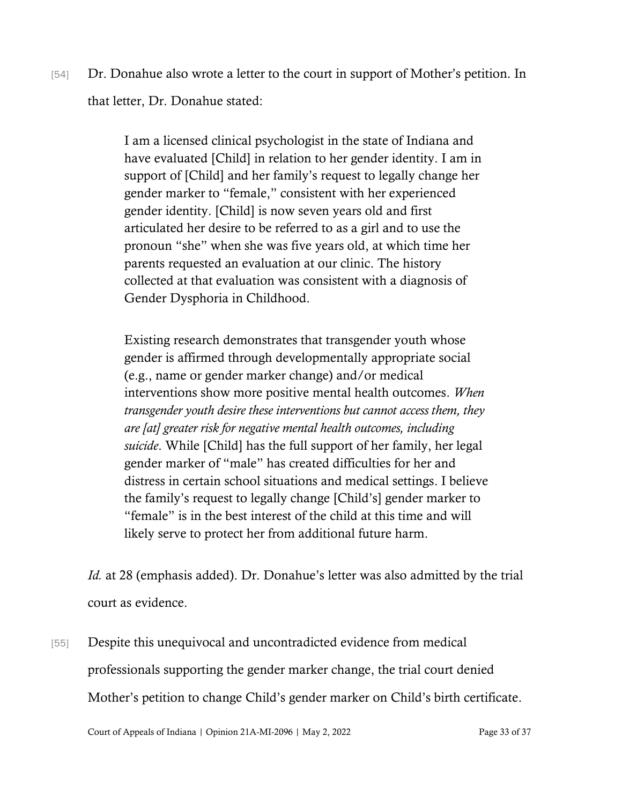[54] Dr. Donahue also wrote a letter to the court in support of Mother's petition. In that letter, Dr. Donahue stated:

> I am a licensed clinical psychologist in the state of Indiana and have evaluated [Child] in relation to her gender identity. I am in support of [Child] and her family's request to legally change her gender marker to "female," consistent with her experienced gender identity. [Child] is now seven years old and first articulated her desire to be referred to as a girl and to use the pronoun "she" when she was five years old, at which time her parents requested an evaluation at our clinic. The history collected at that evaluation was consistent with a diagnosis of Gender Dysphoria in Childhood.

Existing research demonstrates that transgender youth whose gender is affirmed through developmentally appropriate social (e.g., name or gender marker change) and/or medical interventions show more positive mental health outcomes. *When transgender youth desire these interventions but cannot access them, they are [at] greater risk for negative mental health outcomes, including suicide*. While [Child] has the full support of her family, her legal gender marker of "male" has created difficulties for her and distress in certain school situations and medical settings. I believe the family's request to legally change [Child's] gender marker to "female" is in the best interest of the child at this time and will likely serve to protect her from additional future harm.

*Id.* at 28 (emphasis added). Dr. Donahue's letter was also admitted by the trial court as evidence.

[55] Despite this unequivocal and uncontradicted evidence from medical professionals supporting the gender marker change, the trial court denied Mother's petition to change Child's gender marker on Child's birth certificate.

Court of Appeals of Indiana | Opinion 21A-MI-2096 | May 2, 2022 Page 33 of 37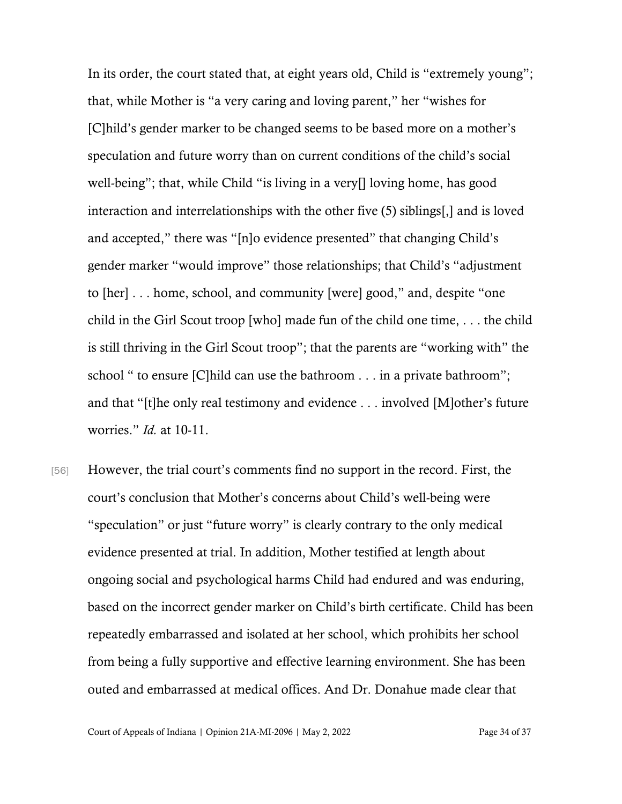In its order, the court stated that, at eight years old, Child is "extremely young"; that, while Mother is "a very caring and loving parent," her "wishes for [C]hild's gender marker to be changed seems to be based more on a mother's speculation and future worry than on current conditions of the child's social well-being"; that, while Child "is living in a very[] loving home, has good interaction and interrelationships with the other five (5) siblings[,] and is loved and accepted," there was "[n]o evidence presented" that changing Child's gender marker "would improve" those relationships; that Child's "adjustment to [her] . . . home, school, and community [were] good," and, despite "one child in the Girl Scout troop [who] made fun of the child one time, . . . the child is still thriving in the Girl Scout troop"; that the parents are "working with" the school " to ensure [C]hild can use the bathroom . . . in a private bathroom"; and that "[t]he only real testimony and evidence . . . involved [M]other's future worries." *Id.* at 10-11.

[56] However, the trial court's comments find no support in the record. First, the court's conclusion that Mother's concerns about Child's well-being were "speculation" or just "future worry" is clearly contrary to the only medical evidence presented at trial. In addition, Mother testified at length about ongoing social and psychological harms Child had endured and was enduring, based on the incorrect gender marker on Child's birth certificate. Child has been repeatedly embarrassed and isolated at her school, which prohibits her school from being a fully supportive and effective learning environment. She has been outed and embarrassed at medical offices. And Dr. Donahue made clear that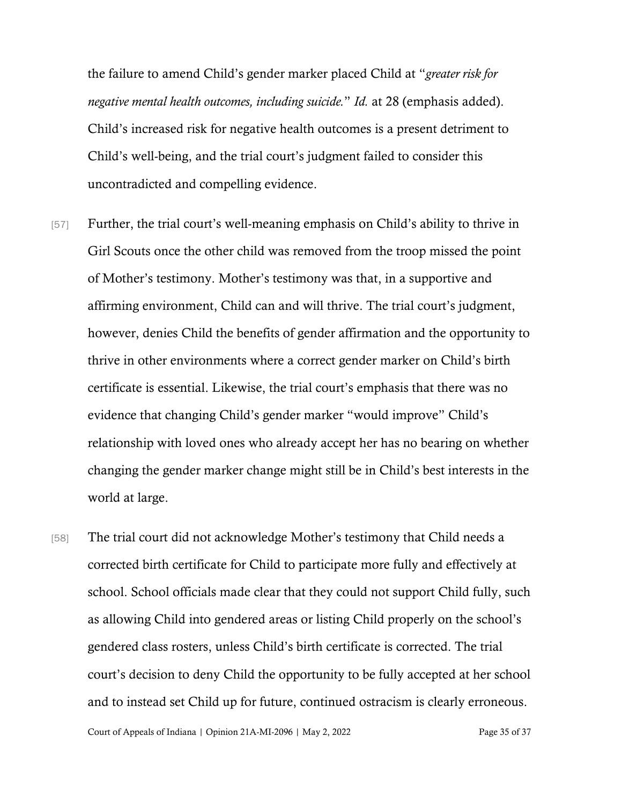the failure to amend Child's gender marker placed Child at "*greater risk for negative mental health outcomes, including suicide.*" *Id.* at 28 (emphasis added). Child's increased risk for negative health outcomes is a present detriment to Child's well-being, and the trial court's judgment failed to consider this uncontradicted and compelling evidence.

- [57] Further, the trial court's well-meaning emphasis on Child's ability to thrive in Girl Scouts once the other child was removed from the troop missed the point of Mother's testimony. Mother's testimony was that, in a supportive and affirming environment, Child can and will thrive. The trial court's judgment, however, denies Child the benefits of gender affirmation and the opportunity to thrive in other environments where a correct gender marker on Child's birth certificate is essential. Likewise, the trial court's emphasis that there was no evidence that changing Child's gender marker "would improve" Child's relationship with loved ones who already accept her has no bearing on whether changing the gender marker change might still be in Child's best interests in the world at large.
- [58] The trial court did not acknowledge Mother's testimony that Child needs a corrected birth certificate for Child to participate more fully and effectively at school. School officials made clear that they could not support Child fully, such as allowing Child into gendered areas or listing Child properly on the school's gendered class rosters, unless Child's birth certificate is corrected. The trial court's decision to deny Child the opportunity to be fully accepted at her school and to instead set Child up for future, continued ostracism is clearly erroneous.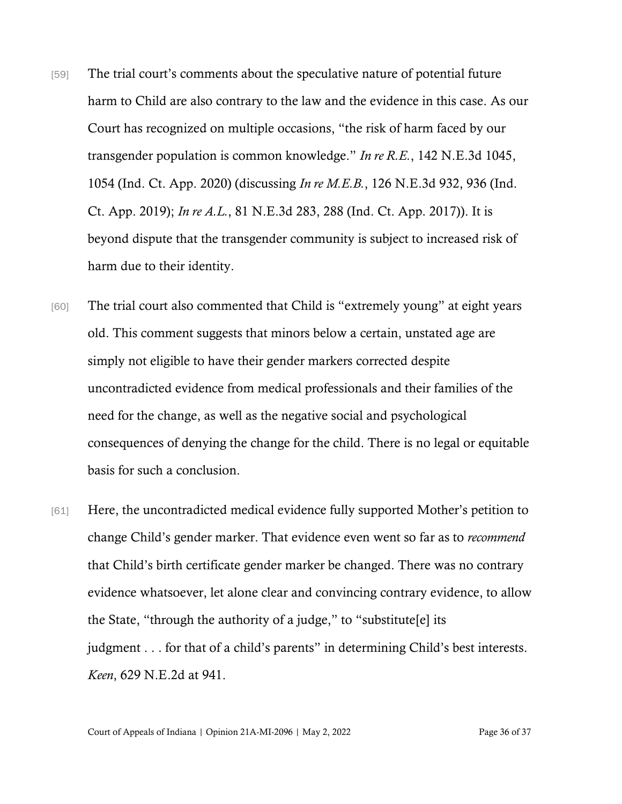- [59] The trial court's comments about the speculative nature of potential future harm to Child are also contrary to the law and the evidence in this case. As our Court has recognized on multiple occasions, "the risk of harm faced by our transgender population is common knowledge." *In re R.E.*, 142 N.E.3d 1045, 1054 (Ind. Ct. App. 2020) (discussing *In re M.E.B.*, 126 N.E.3d 932, 936 (Ind. Ct. App. 2019); *In re A.L.*, 81 N.E.3d 283, 288 (Ind. Ct. App. 2017)). It is beyond dispute that the transgender community is subject to increased risk of harm due to their identity.
- [60] The trial court also commented that Child is "extremely young" at eight years old. This comment suggests that minors below a certain, unstated age are simply not eligible to have their gender markers corrected despite uncontradicted evidence from medical professionals and their families of the need for the change, as well as the negative social and psychological consequences of denying the change for the child. There is no legal or equitable basis for such a conclusion.
- [61] Here, the uncontradicted medical evidence fully supported Mother's petition to change Child's gender marker. That evidence even went so far as to *recommend* that Child's birth certificate gender marker be changed. There was no contrary evidence whatsoever, let alone clear and convincing contrary evidence, to allow the State, "through the authority of a judge," to "substitute  $[e]$  its judgment . . . for that of a child's parents" in determining Child's best interests. *Keen*, 629 N.E.2d at 941.